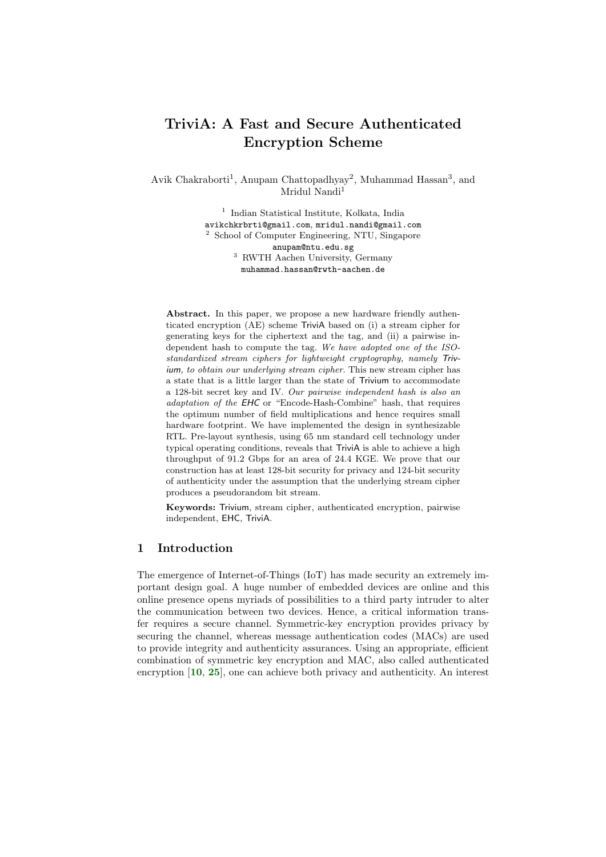# TriviA: A Fast and Secure Authenticated Encryption Scheme

Avik Chakraborti<sup>1</sup>, Anupam Chattopadhyay<sup>2</sup>, Muhammad Hassan<sup>3</sup>, and Mridul Nandi<sup>1</sup>

> 1 Indian Statistical Institute, Kolkata, India avikchkrbrti@gmail.com, mridul.nandi@gmail.com <sup>2</sup> School of Computer Engineering, NTU, Singapore anupam@ntu.edu.sg <sup>3</sup> RWTH Aachen University, Germany muhammad.hassan@rwth-aachen.de

Abstract. In this paper, we propose a new hardware friendly authenticated encryption (AE) scheme TriviA based on (i) a stream cipher for generating keys for the ciphertext and the tag, and (ii) a pairwise independent hash to compute the tag. We have adopted one of the ISOstandardized stream ciphers for lightweight cryptography, namely Trivium, to obtain our underlying stream cipher. This new stream cipher has a state that is a little larger than the state of Trivium to accommodate a 128-bit secret key and IV. Our pairwise independent hash is also an adaptation of the EHC or "Encode-Hash-Combine" hash, that requires the optimum number of field multiplications and hence requires small hardware footprint. We have implemented the design in synthesizable RTL. Pre-layout synthesis, using 65 nm standard cell technology under typical operating conditions, reveals that TriviA is able to achieve a high throughput of 91.2 Gbps for an area of 24.4 KGE. We prove that our construction has at least 128-bit security for privacy and 124-bit security of authenticity under the assumption that the underlying stream cipher produces a pseudorandom bit stream.

Keywords: Trivium, stream cipher, authenticated encryption, pairwise independent, EHC, TriviA.

### 1 Introduction

The emergence of Internet-of-Things (IoT) has made security an extremely important design goal. A huge number of embedded devices are online and this online presence opens myriads of possibilities to a third party intruder to alter the communication between two devices. Hence, a critical information transfer requires a secure channel. Symmetric-key encryption provides privacy by securing the channel, whereas message authentication codes (MACs) are used to provide integrity and authenticity assurances. Using an appropriate, efficient combination of symmetric key encryption and MAC, also called authenticated encryption [[10](#page-21-0), [25](#page-21-1)], one can achieve both privacy and authenticity. An interest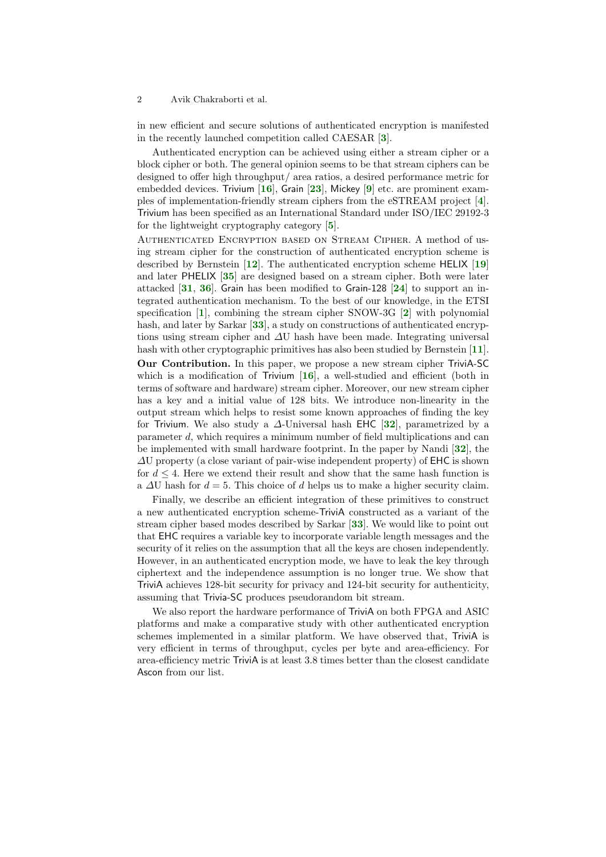<span id="page-1-2"></span>in new efficient and secure solutions of authenticated encryption is manifested in the recently launched competition called CAESAR [[3](#page-20-0)].

<span id="page-1-11"></span><span id="page-1-8"></span><span id="page-1-5"></span>Authenticated encryption can be achieved using either a stream cipher or a block cipher or both. The general opinion seems to be that stream ciphers can be designed to offer high throughput/ area ratios, a desired performance metric for embedded devices. Trivium [[16](#page-21-2)], Grain [[23](#page-21-3)], Mickey [[9](#page-20-1)] etc. are prominent examples of implementation-friendly stream ciphers from the eSTREAM project [[4](#page-20-2)]. Trivium has been specified as an International Standard under ISO/IEC 29192-3 for the lightweight cryptography category [[5](#page-20-3)].

<span id="page-1-17"></span><span id="page-1-12"></span><span id="page-1-10"></span><span id="page-1-7"></span><span id="page-1-4"></span><span id="page-1-3"></span>Authenticated Encryption based on Stream Cipher. A method of using stream cipher for the construction of authenticated encryption scheme is described by Bernstein [[12](#page-21-4)]. The authenticated encryption scheme HELIX [[19](#page-21-5)] and later PHELIX [[35](#page-22-0)] are designed based on a stream cipher. Both were later attacked [[31](#page-22-1), [36](#page-22-2)]. Grain has been modified to Grain-128 [[24](#page-21-6)] to support an integrated authentication mechanism. To the best of our knowledge, in the ETSI specification [[1](#page-20-4)], combining the stream cipher SNOW-3G [[2](#page-20-5)] with polynomial hash, and later by Sarkar [[33](#page-22-3)], a study on constructions of authenticated encryptions using stream cipher and  $\Delta U$  hash have been made. Integrating universal hash with other cryptographic primitives has also been studied by Bernstein [[11](#page-21-7)].

<span id="page-1-15"></span><span id="page-1-13"></span><span id="page-1-9"></span><span id="page-1-6"></span><span id="page-1-1"></span><span id="page-1-0"></span>Our Contribution. In this paper, we propose a new stream cipher TriviA-SC which is a modification of Trivium  $[16]$  $[16]$  $[16]$ , a well-studied and efficient (both in terms of software and hardware) stream cipher. Moreover, our new stream cipher has a key and a initial value of 128 bits. We introduce non-linearity in the output stream which helps to resist some known approaches of finding the key for Trivium. We also study a  $\Delta$ -Universal hash EHC [[32](#page-22-4)], parametrized by a parameter d, which requires a minimum number of field multiplications and can be implemented with small hardware footprint. In the paper by Nandi [[32](#page-22-4)], the  $\Delta U$  property (a close variant of pair-wise independent property) of EHC is shown for  $d \leq 4$ . Here we extend their result and show that the same hash function is a  $\Delta U$  hash for  $d = 5$ . This choice of d helps us to make a higher security claim.

<span id="page-1-16"></span><span id="page-1-14"></span>Finally, we describe an efficient integration of these primitives to construct a new authenticated encryption scheme-TriviA constructed as a variant of the stream cipher based modes described by Sarkar [[33](#page-22-3)]. We would like to point out that EHC requires a variable key to incorporate variable length messages and the security of it relies on the assumption that all the keys are chosen independently. However, in an authenticated encryption mode, we have to leak the key through ciphertext and the independence assumption is no longer true. We show that TriviA achieves 128-bit security for privacy and 124-bit security for authenticity, assuming that Trivia-SC produces pseudorandom bit stream.

We also report the hardware performance of TriviA on both FPGA and ASIC platforms and make a comparative study with other authenticated encryption schemes implemented in a similar platform. We have observed that, TriviA is very efficient in terms of throughput, cycles per byte and area-efficiency. For area-efficiency metric TriviA is at least 3.8 times better than the closest candidate Ascon from our list.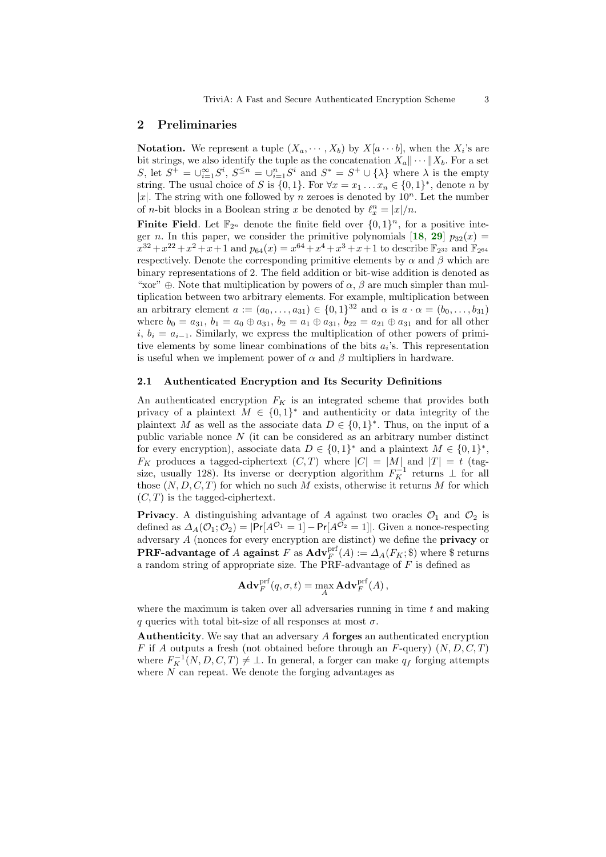### 2 Preliminaries

**Notation.** We represent a tuple  $(X_a, \dots, X_b)$  by  $X[a \dots b]$ , when the  $X_i$ 's are bit strings, we also identify the tuple as the concatenation  $X_a \|\cdots \| X_b$ . For a set S, let  $S^+ = \bigcup_{i=1}^{\infty} S^i$ ,  $S^{\leq n} = \bigcup_{i=1}^n S^i$  and  $S^* = S^+ \cup {\{\lambda\}}$  where  $\lambda$  is the empty string. The usual choice of S is  $\{0,1\}$ . For  $\forall x = x_1 \dots x_n \in \{0,1\}^*$ , denote n by |x|. The string with one followed by n zeroes is denoted by  $10^n$ . Let the number of *n*-bit blocks in a Boolean string x be denoted by  $\ell_x^n = |x|/n$ .

**Finite Field.** Let  $\mathbb{F}_{2^n}$  denote the finite field over  $\{0,1\}^n$ , for a positive integer n. In this paper, we consider the primitive polynomials  $[18, 29]$  $[18, 29]$  $[18, 29]$  $[18, 29]$  $[18, 29]$   $p_{32}(x) =$  $x^{32} + x^{22} + x^2 + x + 1$  and  $p_{64}(x) = x^{64} + x^4 + x^3 + x + 1$  to describe  $\mathbb{F}_{2^{32}}$  and  $\mathbb{F}_{2^{64}}$ respectively. Denote the corresponding primitive elements by  $\alpha$  and  $\beta$  which are binary representations of 2. The field addition or bit-wise addition is denoted as "xor"  $\oplus$ . Note that multiplication by powers of  $\alpha$ ,  $\beta$  are much simpler than multiplication between two arbitrary elements. For example, multiplication between an arbitrary element  $a := (a_0, \ldots, a_{31}) \in \{0, 1\}^{32}$  and  $\alpha$  is  $a \cdot \alpha = (b_0, \ldots, b_{31})$ where  $b_0 = a_{31}$ ,  $b_1 = a_0 \oplus a_{31}$ ,  $b_2 = a_1 \oplus a_{31}$ ,  $b_{22} = a_{21} \oplus a_{31}$  and for all other i,  $b_i = a_{i-1}$ . Similarly, we express the multiplication of other powers of primitive elements by some linear combinations of the bits  $a_i$ 's. This representation is useful when we implement power of  $\alpha$  and  $\beta$  multipliers in hardware.

#### 2.1 Authenticated Encryption and Its Security Definitions

An authenticated encryption  $F_K$  is an integrated scheme that provides both privacy of a plaintext  $M \in \{0,1\}^*$  and authenticity or data integrity of the plaintext M as well as the associate data  $D \in \{0,1\}^*$ . Thus, on the input of a public variable nonce  $N$  (it can be considered as an arbitrary number distinct for every encryption), associate data  $D \in \{0,1\}^*$  and a plaintext  $M \in \{0,1\}^*$ ,  $F_K$  produces a tagged-ciphertext  $(C, T)$  where  $|C| = |M|$  and  $|T| = t$  (tagsize, usually 128). Its inverse or decryption algorithm  $F_K^{-1}$  returns  $\perp$  for all those  $(N, D, C, T)$  for which no such M exists, otherwise it returns M for which  $(C, T)$  is the tagged-ciphertext.

**Privacy.** A distinguishing advantage of A against two oracles  $\mathcal{O}_1$  and  $\mathcal{O}_2$  is defined as  $\Delta_A(\mathcal{O}_1;\mathcal{O}_2) = |\Pr[A^{\mathcal{O}_1} = 1] - \Pr[A^{\mathcal{O}_2} = 1]|$ . Given a nonce-respecting adversary A (nonces for every encryption are distinct) we define the privacy or **PRF-advantage of** A **against**  $F$  as  $\text{Adv}_{F}^{\text{prf}}(A) := \Delta_{A}(F_{K}; \$)$  where  $\$$  returns a random string of appropriate size. The PRF-advantage of  $F$  is defined as

$$
\mathbf{Adv}_{F}^{\mathrm{prf}}(q, \sigma, t) = \max_{A} \mathbf{Adv}_{F}^{\mathrm{prf}}(A) ,
$$

where the maximum is taken over all adversaries running in time  $t$  and making q queries with total bit-size of all responses at most  $\sigma$ .

Authenticity. We say that an adversary A forges an authenticated encryption F if A outputs a fresh (not obtained before through an F-query)  $(N, D, C, T)$ where  $F_K^{-1}(N, D, C, T) \neq \bot$ . In general, a forger can make  $q_f$  forging attempts where  $N$  can repeat. We denote the forging advantages as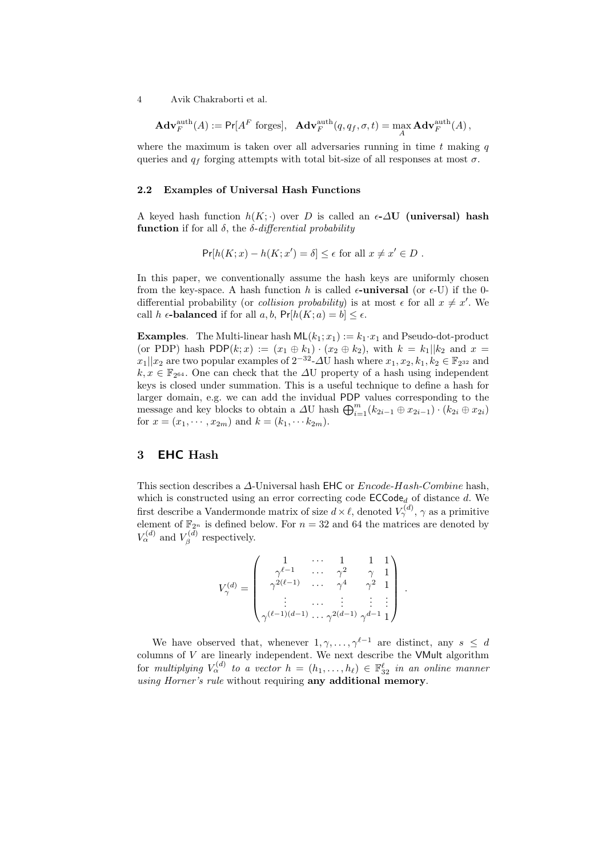$$
\mathbf{Adv}_{F}^{\text{auth}}(A) := \mathsf{Pr}[A^F \text{ forges}], \quad \mathbf{Adv}_{F}^{\text{auth}}(q, q_f, \sigma, t) = \max_{A} \mathbf{Adv}_{F}^{\text{auth}}(A),
$$

where the maximum is taken over all adversaries running in time  $t$  making  $q$ queries and  $q_f$  forging attempts with total bit-size of all responses at most  $\sigma$ .

#### 2.2 Examples of Universal Hash Functions

A keyed hash function  $h(K; \cdot)$  over D is called an  $\epsilon$ - $\Delta U$  (universal) hash function if for all  $\delta$ , the  $\delta$ -differential probability

$$
\Pr[h(K; x) - h(K; x') = \delta] \le \epsilon \text{ for all } x \neq x' \in D.
$$

In this paper, we conventionally assume the hash keys are uniformly chosen from the key-space. A hash function h is called  $\epsilon$ -**universal** (or  $\epsilon$ -U) if the 0differential probability (or *collision probability*) is at most  $\epsilon$  for all  $x \neq x'$ . We call h  $\epsilon$ -balanced if for all  $a, b$ ,  $Pr[h(K; a) = b] \leq \epsilon$ .

**Examples.** The Multi-linear hash  $ML(k_1; x_1) := k_1 \cdot x_1$  and Pseudo-dot-product (or PDP) hash PDP $(k; x) := (x_1 \oplus k_1) \cdot (x_2 \oplus k_2)$ , with  $k = k_1 || k_2$  and  $x =$  $x_1||x_2$  are two popular examples of  $2^{-32}$ - $\Delta$ U hash where  $x_1, x_2, k_1, k_2 \in \mathbb{F}_{2^{32}}$  and  $k, x \in \mathbb{F}_{2^{64}}$ . One can check that the  $\Delta U$  property of a hash using independent keys is closed under summation. This is a useful technique to define a hash for larger domain, e.g. we can add the invidual PDP values corresponding to the message and key blocks to obtain a  $\varDelta U$  hash  $\bigoplus_{i=1}^{m} (k_{2i-1} \oplus x_{2i-1}) \cdot (k_{2i} \oplus x_{2i})$ for  $x = (x_1, \dots, x_{2m})$  and  $k = (k_1, \dots, k_{2m})$ .

## 3 EHC Hash

This section describes a ∆-Universal hash EHC or Encode-Hash-Combine hash, which is constructed using an error correcting code  $\mathsf{ECCode}_d$  of distance d. We first describe a Vandermonde matrix of size  $d \times \ell$ , denoted  $V_{\gamma}^{(d)}$ ,  $\gamma$  as a primitive element of  $\mathbb{F}_{2^n}$  is defined below. For  $n = 32$  and 64 the matrices are denoted by  $V_{\alpha}^{(d)}$  and  $V_{\beta}^{(d)}$  respectively.

$$
V^{(d)}_{\gamma}=\left(\begin{array}{cccc}1&\cdots&1&1&1\\ \gamma^{\ell-1}&\cdots&\gamma^2&\gamma&1\\\gamma^{2(\ell-1)}&\cdots&\gamma^4&\gamma^2&1\\\vdots&\cdots&\vdots&\vdots&\vdots\\\gamma^{(\ell-1)(d-1)}\cdots\gamma^{2(d-1)}&\gamma^{d-1}&1\end{array}\right)
$$

.

We have observed that, whenever  $1, \gamma, \ldots, \gamma^{\ell-1}$  are distinct, any  $s \leq d$ columns of  $V$  are linearly independent. We next describe the VMult algorithm for multiplying  $V_{\alpha}^{(d)}$  to a vector  $h = (h_1, \ldots, h_\ell) \in \mathbb{F}_{32}^{\ell}$  in an online manner using Horner's rule without requiring any additional memory.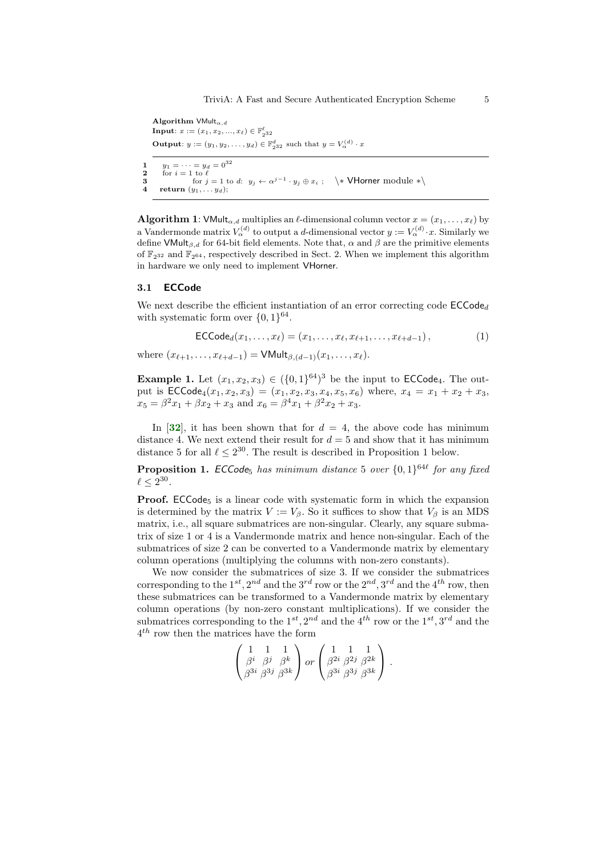Algorithm  $VMulti_{\alpha,d}$ **Input**:  $x := (x_1, x_2, ..., x_\ell) \in \mathbb{F}_{2^{32}}^{\ell}$ **Output**:  $y := (y_1, y_2, \dots, y_d) \in \mathbb{F}_{2^{32}}^d$  such that  $y = V_{\alpha}^{(d)} \cdot x$ 1  $y_1 = \cdots = y_d = 0^{32}$ <br>2 for  $i = 1$  to  $\ell$ 2 for  $i = 1$  to  $\ell$ <br>3 for i 3 for  $j = 1$  to d:  $y_j \leftarrow \alpha^{j-1} \cdot y_j \oplus x_i$ ;  $\searrow$  VHorner module  $\ast \searrow$ 4 return  $(y_1, \ldots y_d);$ 

**Algorithm 1:** VMult<sub> $\alpha$ </sub> d multiplies an  $\ell$ -dimensional column vector  $x = (x_1, \ldots, x_\ell)$  by a Vandermonde matrix  $V_{\alpha}^{(d)}$  to output a d-dimensional vector  $y := V_{\alpha}^{(d)} \cdot x$ . Similarly we define VMult<sub>β,d</sub> for 64-bit field elements. Note that,  $\alpha$  and  $\beta$  are the primitive elements of  $\mathbb{F}_{2^{32}}$  and  $\mathbb{F}_{2^{64}}$ , respectively described in Sect. 2. When we implement this algorithm in hardware we only need to implement VHorner.

#### 3.1 ECCode

We next describe the efficient instantiation of an error correcting code  $\mathsf{ECCode}_d$ with systematic form over  $\{0,1\}^{64}$ .

$$
\mathsf{ECCode}_d(x_1,\ldots,x_\ell)=(x_1,\ldots,x_\ell,x_{\ell+1},\ldots,x_{\ell+d-1}),\qquad(1)
$$

where  $(x_{\ell+1}, \ldots, x_{\ell+d-1}) = \text{VMult}_{\beta,(d-1)}(x_1, \ldots, x_{\ell}).$ 

**Example 1.** Let  $(x_1, x_2, x_3) \in (\{0, 1\}^{64})^3$  be the input to **ECCode**<sub>4</sub>. The output is  $\mathsf{ECCode}_4(x_1, x_2, x_3) = (x_1, x_2, x_3, x_4, x_5, x_6)$  where,  $x_4 = x_1 + x_2 + x_3$ ,  $x_5 = \beta^2 x_1 + \beta x_2 + x_3$  and  $x_6 = \beta^4 x_1 + \beta^2 x_2 + x_3$ .

<span id="page-4-0"></span>In [[32](#page-22-4)], it has been shown that for  $d = 4$ , the above code has minimum distance 4. We next extend their result for  $d = 5$  and show that it has minimum distance 5 for all  $\ell \leq 2^{30}$ . The result is described in Proposition 1 below.

**Proposition 1.** ECCode<sub>5</sub> has minimum distance 5 over  $\{0,1\}^{64\ell}$  for any fixed  $\ell \leq 2^{30}$ .

**Proof.** ECCode<sub>5</sub> is a linear code with systematic form in which the expansion is determined by the matrix  $V := V_\beta$ . So it suffices to show that  $V_\beta$  is an MDS matrix, i.e., all square submatrices are non-singular. Clearly, any square submatrix of size 1 or 4 is a Vandermonde matrix and hence non-singular. Each of the submatrices of size 2 can be converted to a Vandermonde matrix by elementary column operations (multiplying the columns with non-zero constants).

We now consider the submatrices of size 3. If we consider the submatrices corresponding to the  $1^{st}$ ,  $2^{nd}$  and the  $3^{rd}$  row or the  $2^{nd}$ ,  $3^{rd}$  and the  $4^{th}$  row, then these submatrices can be transformed to a Vandermonde matrix by elementary column operations (by non-zero constant multiplications). If we consider the submatrices corresponding to the  $1^{st}$ ,  $2^{nd}$  and the  $4^{th}$  row or the  $1^{st}$ ,  $3^{rd}$  and the 4 th row then the matrices have the form

$$
\begin{pmatrix} 1 & 1 & 1 \ \beta^i & \beta^j & \beta^k \ \beta^{3i} & \beta^{3j} & \beta^{3k} \end{pmatrix} or \begin{pmatrix} 1 & 1 & 1 \ \beta^{2i} & \beta^{2j} & \beta^{2k} \ \beta^{3i} & \beta^{3j} & \beta^{3k} \end{pmatrix}.
$$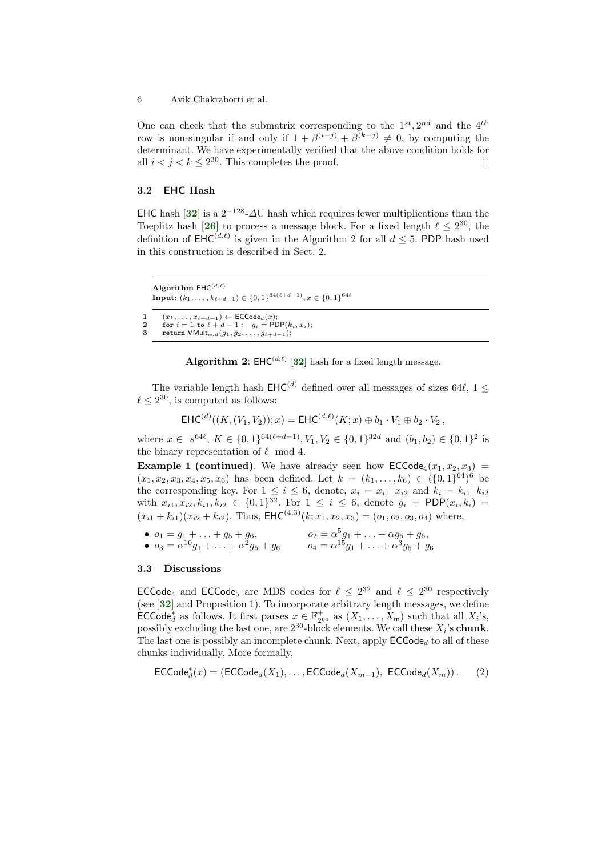One can check that the submatrix corresponding to the  $1^{st}$ ,  $2^{nd}$  and the  $4^{th}$ row is non-singular if and only if  $1 + \beta^{(i-j)} + \beta^{(k-j)} \neq 0$ , by computing the determinant. We have experimentally verified that the above condition holds for all  $i < j < k \leq 2^{30}$ . This completes the proof.

#### 3.2 EHC Hash

<span id="page-5-1"></span><span id="page-5-0"></span>EHC hash [[32](#page-22-4)] is a  $2^{-128}$ - $\Delta$ U hash which requires fewer multiplications than the Toeplitz hash [[26](#page-22-6)] to process a message block. For a fixed length  $\ell \leq 2^{30}$ , the definition of  $\mathsf{EHC}^{(d,\ell)}$  is given in the Algorithm 2 for all  $d \leq 5$ . PDP hash used in this construction is described in Sect. 2.

```
Algorithm \mathsf{EHC}^{(d,\ell)}Input: (k_1, \ldots, k_{\ell+d-1}) \in \{0, 1\}^{64(\ell+d-1)}, x \in \{0, 1\}^{64\ell}
```

```
1 (x_1, \ldots, x_{\ell+d-1}) \leftarrow \mathsf{ECCode}_d(x);2 for i = 1 to \ell + d - 1: g_i = \text{POP}(k_i, x_i);<br>3 return VMult f(x_i, x_i);
```

```
return VMulti_{\alpha,d}(g_1, g_2, \ldots, g_{\ell+d-1});
```
<span id="page-5-2"></span>**Algorithm 2:** EHC<sup>(d,e)</sup> [[32](#page-22-4)] hash for a fixed length message.

The variable length hash  $\mathsf{EHC}^{(d)}$  defined over all messages of sizes 64 $\ell$ , 1  $\leq$  $\ell \leq 2^{30}$ , is computed as follows:

$$
\mathsf{EHC}^{(d)}((K,(V_1,V_2));x) = \mathsf{EHC}^{(d,\ell)}(K;x) \oplus b_1 \cdot V_1 \oplus b_2 \cdot V_2,
$$

where  $x \in s^{64\ell}$ ,  $K \in \{0,1\}^{64(\ell+d-1)}$ ,  $V_1, V_2 \in \{0,1\}^{32d}$  and  $(b_1, b_2) \in \{0,1\}^2$  is the binary representation of  $\ell$  mod 4.

**Example 1 (continued)**. We have already seen how  $\mathsf{ECCode}_4(x_1, x_2, x_3)$  =  $(x_1, x_2, x_3, x_4, x_5, x_6)$  has been defined. Let  $k = (k_1, \ldots, k_6) \in (\{0, 1\}^{64})^6$  be the corresponding key. For  $1 \leq i \leq 6$ , denote,  $x_i = x_{i1}||x_{i2}$  and  $k_i = k_{i1}||k_{i2}$ with  $x_{i1}, x_{i2}, k_{i1}, k_{i2} \in \{0, 1\}^{32}$ . For  $1 \le i \le 6$ , denote  $g_i = \text{PDP}(x_i, k_i) =$  $(x_{i1} + k_{i1})(x_{i2} + k_{i2})$ . Thus,  $\text{EHC}^{(4,3)}(k; x_1, x_2, x_3) = (o_1, o_2, o_3, o_4)$  where,

• 
$$
o_1 = g_1 + \ldots + g_5 + g_6
$$
,  $o_2 = \alpha^5 g_1 + \ldots + \alpha g_5 + g_6$ ,  
\n•  $o_3 = \alpha^{10} g_1 + \ldots + \alpha^2 g_5 + g_6$ ,  $o_4 = \alpha^{15} g_1 + \ldots + \alpha^3 g_5 + g_6$ 

#### 3.3 Discussions

<span id="page-5-3"></span>**ECCode**<sub>4</sub> and **ECCode**<sub>5</sub> are MDS codes for  $\ell \leq 2^{32}$  and  $\ell \leq 2^{30}$  respectively (see [[32](#page-22-4)] and Proposition 1). To incorporate arbitrary length messages, we define ECCode<sup>\*</sup><sub>d</sub> as follows. It first parses  $x \in \mathbb{F}_{2^{64}}^+$  as  $(X_1, \ldots, X_m)$  such that all  $X_i$ 's, possibly excluding the last one, are  $2^{30}$ -block elements. We call these  $X_i$ 's chunk. The last one is possibly an incomplete chunk. Next, apply  $\mathsf{ECCode}_d$  to all of these chunks individually. More formally,

$$
\mathsf{ECCode}_d^*(x) = (\mathsf{ECCode}_d(X_1), \dots, \mathsf{ECCode}_d(X_{m-1}), \ \mathsf{ECCode}_d(X_m)).
$$
 (2)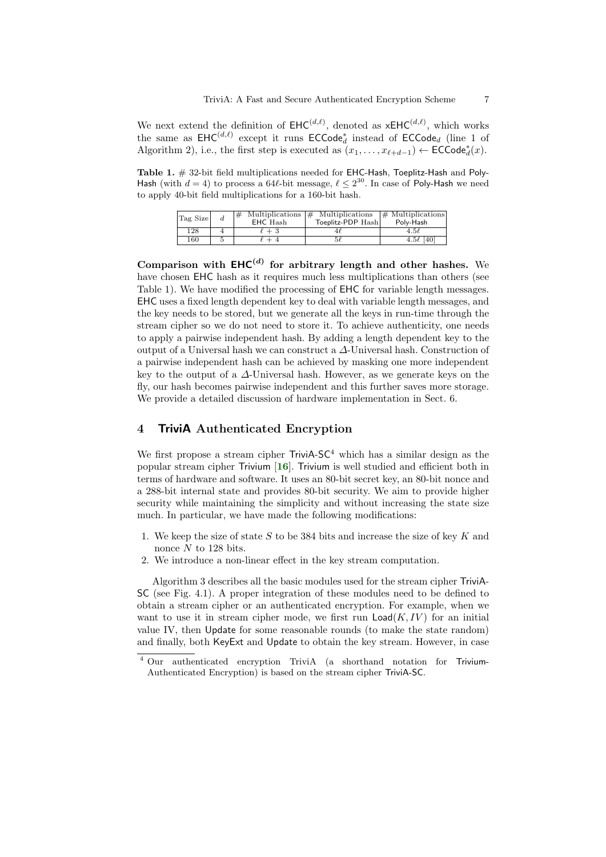We next extend the definition of  $EHC^{(d,\ell)}$ , denoted as  $xEHC^{(d,\ell)}$ , which works the same as  $\mathsf{EHC}^{(d,\ell)}$  except it runs  $\mathsf{ECCode}_d^*$  instead of  $\mathsf{ECCode}_d$  (line 1 of Algorithm 2), i.e., the first step is executed as  $(x_1, \ldots, x_{\ell+d-1}) \leftarrow \mathsf{ECCode}_d^*(x)$ .

Table 1. # 32-bit field multiplications needed for EHC-Hash, Toeplitz-Hash and Poly-Hash (with  $d = 4$ ) to process a 64 $\ell$ -bit message,  $\ell \leq 2^{30}$ . In case of Poly-Hash we need to apply 40-bit field multiplications for a 160-bit hash.

| Tag Size | $^{+}$<br>EHC Hash | Multiplications $\#$ Multiplications<br>Toeplitz-PDP Hashl | $\#$ Multiplications<br>Polv-Hash |
|----------|--------------------|------------------------------------------------------------|-----------------------------------|
| 128      | $+3$               | 41                                                         | $4.5\ell$                         |
| 160      |                    | $5\ell$                                                    | 4.5 $\ell$ [40]                   |

Comparison with  $EHC^{(d)}$  for arbitrary length and other hashes. We have chosen EHC hash as it requires much less multiplications than others (see Table 1). We have modified the processing of EHC for variable length messages. EHC uses a fixed length dependent key to deal with variable length messages, and the key needs to be stored, but we generate all the keys in run-time through the stream cipher so we do not need to store it. To achieve authenticity, one needs to apply a pairwise independent hash. By adding a length dependent key to the output of a Universal hash we can construct a ∆-Universal hash. Construction of a pairwise independent hash can be achieved by masking one more independent key to the output of a  $\Delta$ -Universal hash. However, as we generate keys on the fly, our hash becomes pairwise independent and this further saves more storage. We provide a detailed discussion of hardware implementation in Sect. 6.

### 4 TriviA Authenticated Encryption

<span id="page-6-0"></span>We first propose a stream cipher  $TriviA-SC<sup>4</sup>$  which has a similar design as the popular stream cipher Trivium [[16](#page-21-2)]. Trivium is well studied and efficient both in terms of hardware and software. It uses an 80-bit secret key, an 80-bit nonce and a 288-bit internal state and provides 80-bit security. We aim to provide higher security while maintaining the simplicity and without increasing the state size much. In particular, we have made the following modifications:

- 1. We keep the size of state S to be 384 bits and increase the size of key K and nonce  $N$  to 128 bits.
- 2. We introduce a non-linear effect in the key stream computation.

Algorithm 3 describes all the basic modules used for the stream cipher TriviA-SC (see Fig. 4.1). A proper integration of these modules need to be defined to obtain a stream cipher or an authenticated encryption. For example, when we want to use it in stream cipher mode, we first run  $\textsf{Load}(K, IV)$  for an initial value IV, then Update for some reasonable rounds (to make the state random) and finally, both KeyExt and Update to obtain the key stream. However, in case

<sup>4</sup> Our authenticated encryption TriviA (a shorthand notation for Trivium-Authenticated Encryption) is based on the stream cipher TriviA-SC.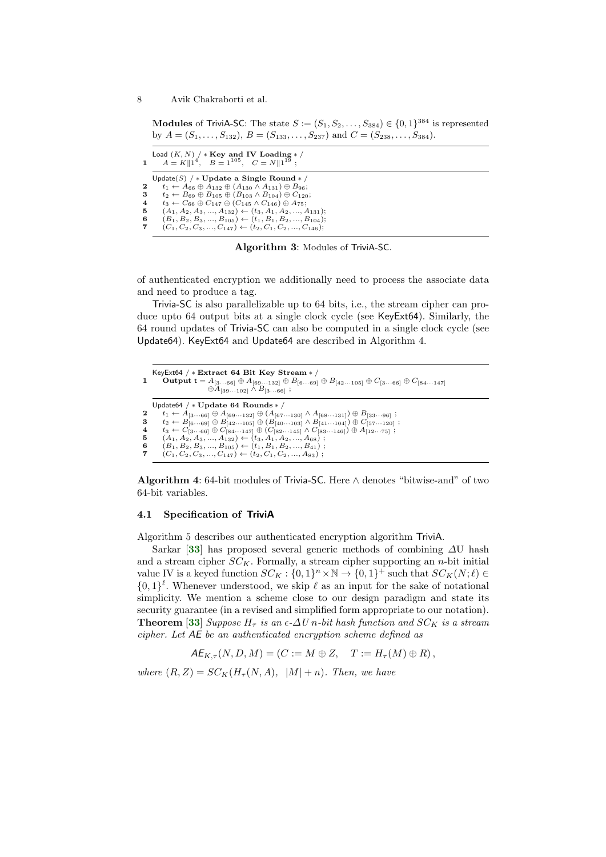Modules of TriviA-SC: The state  $S := (S_1, S_2, \ldots, S_{384}) \in \{0,1\}^{384}$  is represented by  $A = (S_1, \ldots, S_{132}), B = (S_{133}, \ldots, S_{237})$  and  $C = (S_{238}, \ldots, S_{384}).$ 

|                | Load $(K, N)$ / * Key and IV Loading * /<br>1 $A = K  1^4$ , $B = 1^{105}$ , $C = N  1^{19}$ ; |
|----------------|------------------------------------------------------------------------------------------------|
|                | Update(S) / * Update a Single Round * /                                                        |
| $\mathbf{2}$   | $t_1 \leftarrow A_{66} \oplus A_{132} \oplus (A_{130} \wedge A_{131}) \oplus B_{96};$          |
| 3              | $t_2 \leftarrow B_{69} \oplus B_{105} \oplus (B_{103} \wedge B_{104}) \oplus C_{120};$         |
| $\overline{4}$ | $t_3 \leftarrow C_{66} \oplus C_{147} \oplus (C_{145} \wedge C_{146}) \oplus A_{75};$          |
| 5              | $(A_1, A_2, A_3, , A_{132}) \leftarrow (t_3, A_1, A_2, , A_{131});$                            |
| -6             | $(B_1, B_2, B_3, , B_{105}) \leftarrow (t_1, B_1, B_2, , B_{104});$                            |
| 7              | $(C_1, C_2, C_3, , C_{147}) \leftarrow (t_2, C_1, C_2, , C_{146});$                            |
|                |                                                                                                |

Algorithm 3: Modules of TriviA-SC.

of authenticated encryption we additionally need to process the associate data and need to produce a tag.

Trivia-SC is also parallelizable up to 64 bits, i.e., the stream cipher can produce upto 64 output bits at a single clock cycle (see KeyExt64). Similarly, the 64 round updates of Trivia-SC can also be computed in a single clock cycle (see Update64). KeyExt64 and Update64 are described in Algorithm 4.

|                                    | KeyExt64 / * Extract 64 Bit Key Stream * /<br><b>Output</b> $t = A_{[366]} \oplus A_{[69132]} \oplus B_{[669]} \oplus B_{[42105]} \oplus C_{[366]} \oplus C_{[84147]}$<br>$\oplus A_{[39\cdots 102]} \wedge B_{[3\cdots 66]};$                                                                                                                                                                                                                                                                                                                                                                                                                                        |
|------------------------------------|-----------------------------------------------------------------------------------------------------------------------------------------------------------------------------------------------------------------------------------------------------------------------------------------------------------------------------------------------------------------------------------------------------------------------------------------------------------------------------------------------------------------------------------------------------------------------------------------------------------------------------------------------------------------------|
| $\mathbf{2}$<br>3<br>4<br>-5<br>-6 | Update 64 / $*$ Update 64 Rounds $*$ /<br>$t_1 \leftarrow A_{[3\cdots 66]} \oplus A_{[69\cdots 132]} \oplus (A_{[67\cdots 130]} \wedge A_{[68\cdots 131]}) \oplus B_{[33\cdots 96]};$<br>$t_2 \leftarrow B_{[6\cdots 69]} \oplus B_{[42\cdots 105]} \oplus (B_{[40\cdots 103]} \wedge B_{[41\cdots 104]}) \oplus C_{[57\cdots 120]};$<br>$t_3 \leftarrow C_{[366]} \oplus C_{[84147]} \oplus (C_{[82145]} \wedge C_{[83146]}) \oplus A_{[1275]}$<br>$(A_1, A_2, A_3, , A_{132}) \leftarrow (t_3, A_1, A_2, , A_{68})$ ;<br>$(B_1, B_2, B_3, , B_{105}) \leftarrow (t_1, B_1, B_2, , B_{41})$ ;<br>$(C_1, C_2, C_3, , C_{147}) \leftarrow (t_2, C_1, C_2, , A_{83})$ ; |

Algorithm 4: 64-bit modules of Trivia-SC. Here ∧ denotes "bitwise-and" of two 64-bit variables.

### 4.1 Specification of TriviA

<span id="page-7-0"></span>Algorithm 5 describes our authenticated encryption algorithm TriviA.

Sarkar [[33](#page-22-3)] has proposed several generic methods of combining  $\Delta U$  hash and a stream cipher  $SC_K$ . Formally, a stream cipher supporting an n-bit initial value IV is a keyed function  $SC_K : \{0,1\}^n \times \mathbb{N} \to \{0,1\}^+$  such that  $SC_K(N; \ell) \in$  $\{0,1\}^{\ell}$ . Whenever understood, we skip  $\ell$  as an input for the sake of notational simplicity. We mention a scheme close to our design paradigm and state its security guarantee (in a revised and simplified form appropriate to our notation). **Theorem [[33](#page-22-3)]** Suppose  $H<sub>\tau</sub>$  is an  $\epsilon$ - $\Delta U$  n-bit hash function and  $SC<sub>K</sub>$  is a stream cipher. Let AE be an authenticated encryption scheme defined as

<span id="page-7-1"></span>
$$
AE_{K,\tau}(N,D,M)=(C:=M\oplus Z, \quad T:=H_{\tau}(M)\oplus R),
$$

where  $(R, Z) = SC_K(H_\tau(N, A), |M| + n)$ . Then, we have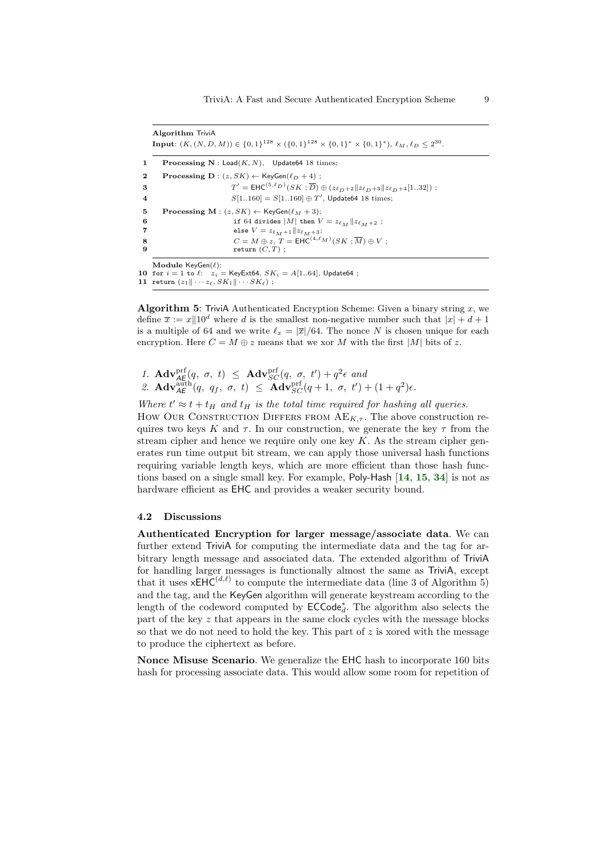Algorithm TriviA **Input:**  $(K, (N, D, M)) \in \{0, 1\}^{128} \times \{0, 1\}^{128} \times \{0, 1\}^* \times \{0, 1\}^*$ ),  $\ell_M, \ell_D \leq 2^{30}$ . 1 Processing  $N :$  Load $(K, N)$ , Update64 18 times; **2** Processing D :  $(z, SK) \leftarrow \text{KeyGen}(\ell_D + 4)$ ;  $\mathbf 3$   $\mathbf 7$  $0' = \mathsf{EHC}^{(5,\ell_D)}(SK;\overline{D}) \oplus (z_{\ell_D+2}||z_{\ell_D+3}||z_{\ell_D+4}[1..32]) ;$ 4  $S[1..160] = S[1..160] \oplus T'$ , Update64 18 times; 5 Processing M :  $(z, SK) \leftarrow \text{KeyGen}(\ell_M + 3);$ 6 if 64 divides  $|M|$  then  $V = z_{\ell_M} || z_{\ell_M+2}$ ;<br>
alse  $V = z_{\ell_{M+1}} || z_{\ell_{M+2}}$ ; 7 else  $V = z_{\ell_M+1} || z_{\ell_M+3};$ <br>8  $C = M \oplus z$ .  $T = \text{EHC}^{(4,\ell)}$ 8  $C = M \oplus z, T = \mathsf{EHC}^{(4,\ell_M)}(SK; \overline{M}) \oplus V;$ 9 return  $(C, T)$ ; Module  $KevGen(\ell)$ : 10 for  $i = 1$  to  $\ell:$   $z_i =$  KeyExt64,  $SK_i = A[1..64]$ , Update64;

11 return  $(z_1 \|\cdots z_\ell, SK_1\|\cdots SK_\ell)$ ;

**Algorithm 5:** TriviA Authenticated Encryption Scheme: Given a binary string x, we define  $\bar{x} := x||10^d$  where d is the smallest non-negative number such that  $|x| + d + 1$ is a multiple of 64 and we write  $\ell_x = |\overline{x}|/64$ . The nonce N is chosen unique for each encryption. Here  $C = M \oplus z$  means that we xor M with the first |M| bits of z.

1.  $\mathbf{Adv}_{AE}^{\text{prf}}(q, \sigma, t) \leq \mathbf{Adv}_{SC}^{\text{prf}}(q, \sigma, t') + q^2 \epsilon$  and

2.  $\mathbf{Adv}_{\mathcal{A}\mathcal{E}}^{\text{auth}}(q, q_f, \sigma, t) \leq \mathbf{Adv}_{SC}^{\text{prf}}(q+1, \sigma, t') + (1+q^2)\epsilon.$ 

Where  $t' \approx t + t_H$  and  $t_H$  is the total time required for hashing all queries.

How Our CONSTRUCTION DIFFERS FROM  $AE_{K,\tau}$ . The above construction requires two keys K and  $\tau$ . In our construction, we generate the key  $\tau$  from the stream cipher and hence we require only one key  $K$ . As the stream cipher generates run time output bit stream, we can apply those universal hash functions requiring variable length keys, which are more efficient than those hash functions based on a single small key. For example, Poly-Hash [[14](#page-21-9), [15](#page-21-10), [34](#page-22-7)] is not as hardware efficient as **EHC** and provides a weaker security bound.

#### 4.2 Discussions

Authenticated Encryption for larger message/associate data. We can further extend TriviA for computing the intermediate data and the tag for arbitrary length message and associated data. The extended algorithm of TriviA for handling larger messages is functionally almost the same as TriviA, except that it uses  $xEHC^{(d,\ell)}$  to compute the intermediate data (line 3 of Algorithm 5) and the tag, and the KeyGen algorithm will generate keystream according to the length of the codeword computed by  $\mathsf{ECCode}_d^*$ . The algorithm also selects the part of the key  $z$  that appears in the same clock cycles with the message blocks so that we do not need to hold the key. This part of  $z$  is xored with the message to produce the ciphertext as before.

Nonce Misuse Scenario. We generalize the EHC hash to incorporate 160 bits hash for processing associate data. This would allow some room for repetition of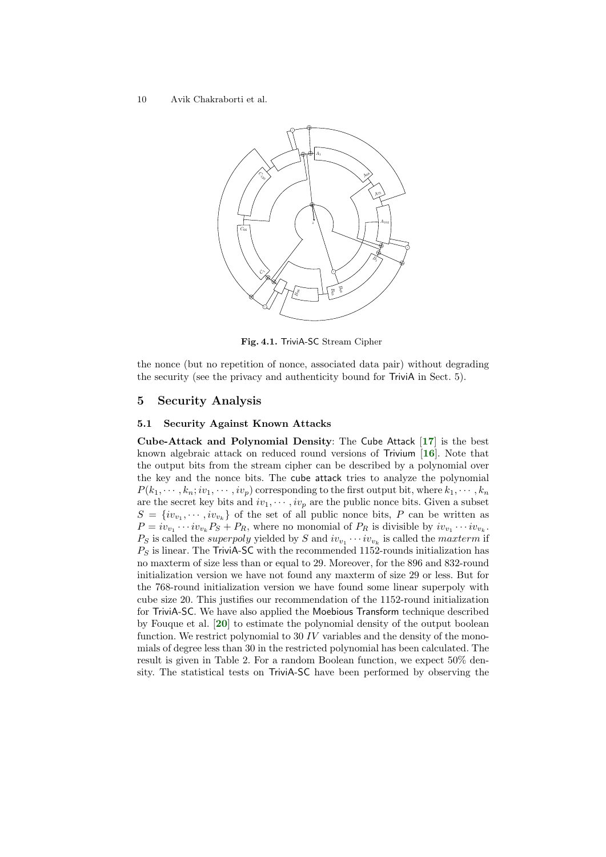

<span id="page-9-1"></span><span id="page-9-0"></span>Fig. 4.1. TriviA-SC Stream Cipher

the nonce (but no repetition of nonce, associated data pair) without degrading the security (see the privacy and authenticity bound for TriviA in Sect. 5).

### 5 Security Analysis

#### 5.1 Security Against Known Attacks

<span id="page-9-2"></span>Cube-Attack and Polynomial Density: The Cube Attack  $[17]$  $[17]$  $[17]$  is the best known algebraic attack on reduced round versions of Trivium  $[16]$  $[16]$  $[16]$ . Note that the output bits from the stream cipher can be described by a polynomial over the key and the nonce bits. The cube attack tries to analyze the polynomial  $P(k_1, \dots, k_n; iv_1, \dots, iv_p)$  corresponding to the first output bit, where  $k_1, \dots, k_n$ are the secret key bits and  $iv_1, \dots, iv_p$  are the public nonce bits. Given a subset  $S = \{iv_{v_1}, \dots, iv_{v_k}\}\$  of the set of all public nonce bits, P can be written as  $P = iv_{v_1} \cdots iv_{v_k} P_S + P_R$ , where no monomial of  $P_R$  is divisible by  $iv_{v_1} \cdots iv_{v_k}$ .  $P_S$  is called the *superpoly* yielded by S and  $iv_{v_1} \cdots iv_{v_k}$  is called the *maxterm* if  $P<sub>S</sub>$  is linear. The TriviA-SC with the recommended 1152-rounds initialization has no maxterm of size less than or equal to 29. Moreover, for the 896 and 832-round initialization version we have not found any maxterm of size 29 or less. But for the 768-round initialization version we have found some linear superpoly with cube size 20. This justifies our recommendation of the 1152-round initialization for TriviA-SC. We have also applied the Moebious Transform technique described by Fouque et al. [[20](#page-21-12)] to estimate the polynomial density of the output boolean function. We restrict polynomial to 30 IV variables and the density of the monomials of degree less than 30 in the restricted polynomial has been calculated. The result is given in Table 2. For a random Boolean function, we expect 50% density. The statistical tests on TriviA-SC have been performed by observing the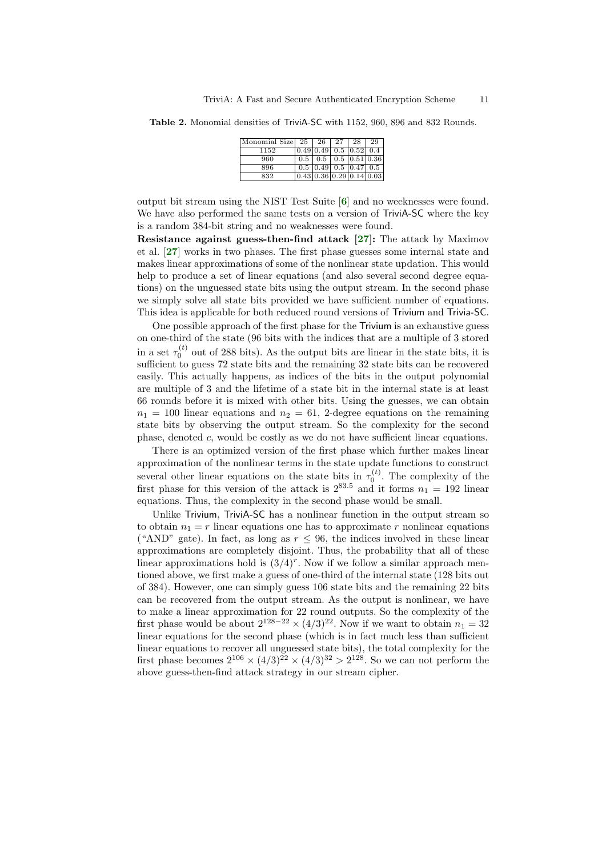Table 2. Monomial densities of TriviA-SC with 1152, 960, 896 and 832 Rounds.

<span id="page-10-1"></span><span id="page-10-0"></span>

| Monomial Size $25 \mid 26 \mid 27 \mid 28 \mid$ |                                                  |                                     |  | 29 |
|-------------------------------------------------|--------------------------------------------------|-------------------------------------|--|----|
| 1152                                            | 0.49 0.49 0.5 0.52 0.4                           |                                     |  |    |
| 960                                             | $\mid 0.5 \mid 0.5 \mid 0.5 \mid 0.51 \mid 0.36$ |                                     |  |    |
| 896                                             |                                                  | $0.5$ $ 0.49 $ $0.5$ $ 0.47 $ $0.5$ |  |    |
| 832                                             | [0.43] 0.36] 0.29] 0.14] 0.03                    |                                     |  |    |
|                                                 |                                                  |                                     |  |    |

output bit stream using the NIST Test Suite [[6](#page-20-6)] and no weeknesses were found. We have also performed the same tests on a version of TriviA-SC where the key is a random 384-bit string and no weaknesses were found.

<span id="page-10-2"></span>Resistance against guess-then-find attack [\[27\]](#page-22-8): The attack by Maximov et al. [[27](#page-22-8)] works in two phases. The first phase guesses some internal state and makes linear approximations of some of the nonlinear state updation. This would help to produce a set of linear equations (and also several second degree equations) on the unguessed state bits using the output stream. In the second phase we simply solve all state bits provided we have sufficient number of equations. This idea is applicable for both reduced round versions of Trivium and Trivia-SC.

One possible approach of the first phase for the Trivium is an exhaustive guess on one-third of the state (96 bits with the indices that are a multiple of 3 stored in a set  $\tau_0^{(t)}$  out of 288 bits). As the output bits are linear in the state bits, it is sufficient to guess 72 state bits and the remaining 32 state bits can be recovered easily. This actually happens, as indices of the bits in the output polynomial are multiple of 3 and the lifetime of a state bit in the internal state is at least 66 rounds before it is mixed with other bits. Using the guesses, we can obtain  $n_1 = 100$  linear equations and  $n_2 = 61$ , 2-degree equations on the remaining state bits by observing the output stream. So the complexity for the second phase, denoted c, would be costly as we do not have sufficient linear equations.

There is an optimized version of the first phase which further makes linear approximation of the nonlinear terms in the state update functions to construct several other linear equations on the state bits in  $\tau_0^{(t)}$ . The complexity of the first phase for this version of the attack is  $2^{83.5}$  and it forms  $n_1 = 192$  linear equations. Thus, the complexity in the second phase would be small.

Unlike Trivium, TriviA-SC has a nonlinear function in the output stream so to obtain  $n_1 = r$  linear equations one has to approximate r nonlinear equations ("AND" gate). In fact, as long as  $r \leq 96$ , the indices involved in these linear approximations are completely disjoint. Thus, the probability that all of these linear approximations hold is  $(3/4)^r$ . Now if we follow a similar approach mentioned above, we first make a guess of one-third of the internal state (128 bits out of 384). However, one can simply guess 106 state bits and the remaining 22 bits can be recovered from the output stream. As the output is nonlinear, we have to make a linear approximation for 22 round outputs. So the complexity of the first phase would be about  $2^{128-22} \times (4/3)^{22}$ . Now if we want to obtain  $n_1 = 32$ linear equations for the second phase (which is in fact much less than sufficient linear equations to recover all unguessed state bits), the total complexity for the first phase becomes  $2^{106} \times (4/3)^{22} \times (4/3)^{32} > 2^{128}$ . So we can not perform the above guess-then-find attack strategy in our stream cipher.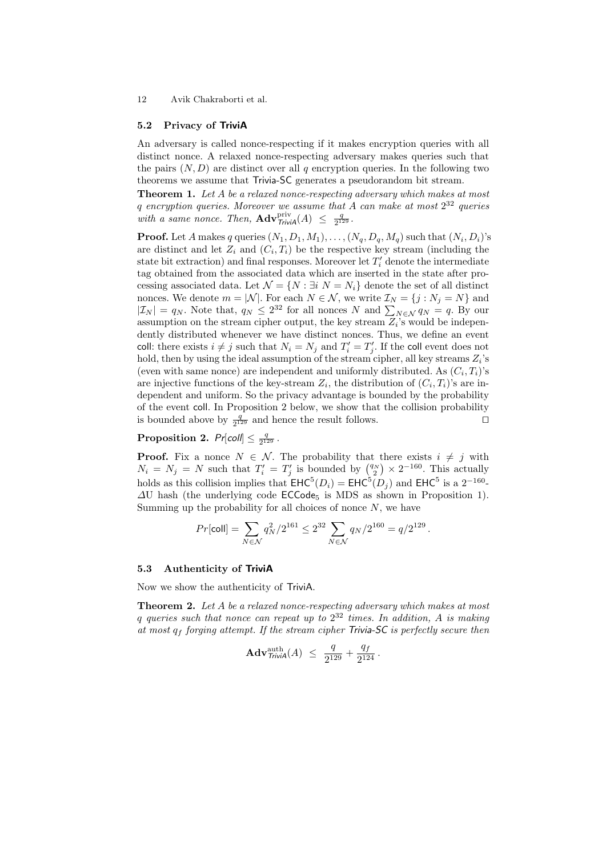#### 5.2 Privacy of TriviA

An adversary is called nonce-respecting if it makes encryption queries with all distinct nonce. A relaxed nonce-respecting adversary makes queries such that the pairs  $(N, D)$  are distinct over all q encryption queries. In the following two theorems we assume that Trivia-SC generates a pseudorandom bit stream.

Theorem 1. Let A be a relaxed nonce-respecting adversary which makes at most q encryption queries. Moreover we assume that A can make at most  $2^{32}$  queries with a same nonce. Then,  $\mathbf{Adv}_{\text{Trivial}}^{\text{priv}}(A) \leq \frac{q}{2^{12}}$  $\frac{q}{2^{129}}$ .

**Proof.** Let A makes q queries  $(N_1, D_1, M_1), \ldots, (N_q, D_q, M_q)$  such that  $(N_i, D_i)$ 's are distinct and let  $Z_i$  and  $(C_i, T_i)$  be the respective key stream (including the state bit extraction) and final responses. Moreover let  $T_i'$  denote the intermediate tag obtained from the associated data which are inserted in the state after processing associated data. Let  $\mathcal{N} = \{N : \exists i \; N = N_i\}$  denote the set of all distinct nonces. We denote  $m = |\mathcal{N}|$ . For each  $N \in \mathcal{N}$ , we write  $\mathcal{I}_N = \{j : N_j = N\}$  and  $|\mathcal{I}_N| = q_N$ . Note that,  $q_N \leq 2^{32}$  for all nonces N and  $\sum_{N \in \mathcal{N}} q_N = q$ . By our assumption on the stream cipher output, the key stream  $Z_i$ 's would be independently distributed whenever we have distinct nonces. Thus, we define an event coll: there exists  $i \neq j$  such that  $N_i = N_j$  and  $T'_i = T'_j$ . If the coll event does not hold, then by using the ideal assumption of the stream cipher, all key streams  $Z_i$ 's (even with same nonce) are independent and uniformly distributed. As  $(C_i, T_i)$ 's are injective functions of the key-stream  $Z_i$ , the distribution of  $(C_i, T_i)$ 's are independent and uniform. So the privacy advantage is bounded by the probability of the event coll. In Proposition 2 below, we show that the collision probability is bounded above by  $\frac{q}{2^{129}}$  and hence the result follows.

#### Proposition 2.  $Pr[coll] \leq \frac{q}{2^{1/3}}$  $\frac{q}{2^{129}}$ .

**Proof.** Fix a nonce  $N \in \mathcal{N}$ . The probability that there exists  $i \neq j$  with  $N_i = N_j = N$  such that  $T'_i = T'_j$  is bounded by  $\binom{q_N}{2} \times 2^{-160}$ . This actually holds as this collision implies that  $EHC^5(D_i) = EHC^5(D_j)$  and  $EHC^5$  is a  $2^{-160}$ - $\Delta U$  hash (the underlying code ECCode<sub>5</sub> is MDS as shown in Proposition 1). Summing up the probability for all choices of nonce  $N$ , we have

$$
Pr[\text{coll}] = \sum_{N \in \mathcal{N}} q_N^2/2^{161} \leq 2^{32} \sum_{N \in \mathcal{N}} q_N/2^{160} = q/2^{129} \,.
$$

#### 5.3 Authenticity of TriviA

Now we show the authenticity of TriviA.

**Theorem 2.** Let A be a relaxed nonce-respecting adversary which makes at most q queries such that nonce can repeat up to  $2^{32}$  times. In addition, A is making at most  $q_f$  forging attempt. If the stream cipher Trivia-SC is perfectly secure then

$$
Adv_{\text{Trivial}}^{\text{auth}}(A) \ \leq \ \frac{q}{2^{129}} + \frac{q_f}{2^{124}} \, .
$$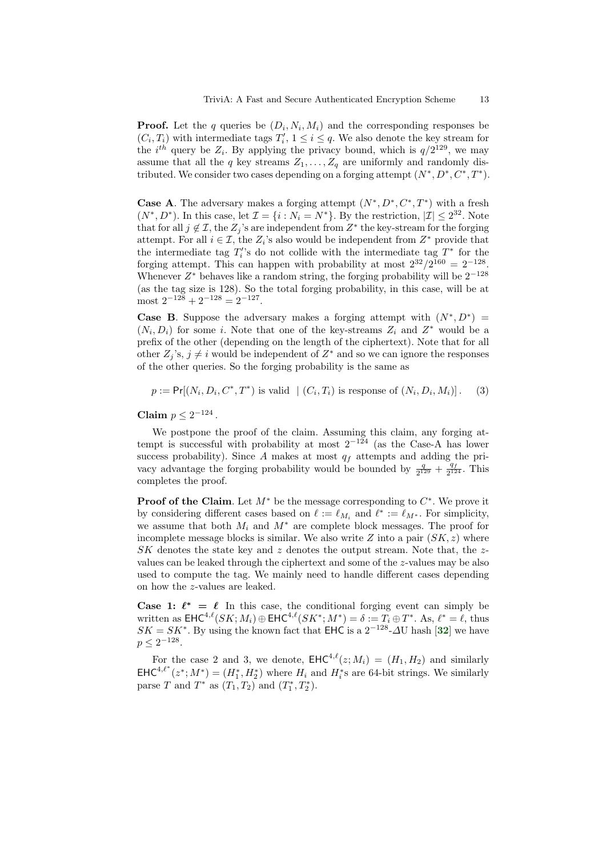**Proof.** Let the q queries be  $(D_i, N_i, M_i)$  and the corresponding responses be  $(C_i, T_i)$  with intermediate tags  $T'_i, 1 \leq i \leq q$ . We also denote the key stream for the *i*<sup>th</sup> query be  $Z_i$ . By applying the privacy bound, which is  $q/2^{129}$ , we may assume that all the q key streams  $Z_1, \ldots, Z_q$  are uniformly and randomly distributed. We consider two cases depending on a forging attempt  $(N^*, D^*, C^*, T^*)$ .

**Case A**. The adversary makes a forging attempt  $(N^*, D^*, C^*, T^*)$  with a fresh  $(N^*, D^*)$ . In this case, let  $\mathcal{I} = \{i : N_i = N^*\}$ . By the restriction,  $|\mathcal{I}| \leq 2^{32}$ . Note that for all  $j \notin \mathcal{I}$ , the  $Z_j$ 's are independent from  $Z^*$  the key-stream for the forging attempt. For all  $i \in \mathcal{I}$ , the  $Z_i$ 's also would be independent from  $Z^*$  provide that the intermediate tag  $T_i$ 's do not collide with the intermediate tag  $T^*$  for the forging attempt. This can happen with probability at most  $2^{32}/2^{160} = 2^{-128}$ . Whenever  $Z^*$  behaves like a random string, the forging probability will be  $2^{-128}$ (as the tag size is 128). So the total forging probability, in this case, will be at most  $2^{-128} + 2^{-128} = 2^{-127}$ .

**Case B.** Suppose the adversary makes a forging attempt with  $(N^*, D^*)$  =  $(N_i, D_i)$  for some i. Note that one of the key-streams  $Z_i$  and  $Z^*$  would be a prefix of the other (depending on the length of the ciphertext). Note that for all other  $Z_j$ 's,  $j \neq i$  would be independent of  $Z^*$  and so we can ignore the responses of the other queries. So the forging probability is the same as

 $p := \Pr[(N_i, D_i, C^*, T^*)$  is valid  $|(C_i, T_i)|$  is response of  $(N_i, D_i, M_i)]$ . (3)

Claim  $p \leq 2^{-124}$ .

We postpone the proof of the claim. Assuming this claim, any forging attempt is successful with probability at most  $2^{-124}$  (as the Case-A has lower success probability). Since A makes at most  $q_f$  attempts and adding the privacy advantage the forging probability would be bounded by  $\frac{q}{2^{129}} + \frac{q}{2^{12}}$  $\frac{q_f}{2^{124}}$ . This completes the proof.

**Proof of the Claim**. Let  $M^*$  be the message corresponding to  $C^*$ . We prove it by considering different cases based on  $\ell := \ell_{M_i}$  and  $\ell^* := \ell_{M^*}$ . For simplicity, we assume that both  $M_i$  and  $M^*$  are complete block messages. The proof for incomplete message blocks is similar. We also write  $Z$  into a pair  $(SK, z)$  where  $SK$  denotes the state key and z denotes the output stream. Note that, the zvalues can be leaked through the ciphertext and some of the z-values may be also used to compute the tag. We mainly need to handle different cases depending on how the z-values are leaked.

<span id="page-12-0"></span>Case 1:  $\ell^* = \ell$  In this case, the conditional forging event can simply be written as  $\mathsf{EHC}^{4,\ell}(SK;M_i) \oplus \mathsf{EHC}^{4,\ell}(SK^*;M^*) = \delta := T_i \oplus T^*$ . As,  $\ell^* = \ell$ , thus  $SK = SK^*$ . By using the known fact that EHC is a  $2^{-128}$ - $\Delta$ U hash [[32](#page-22-4)] we have  $p \leq 2^{-128}.$ 

For the case 2 and 3, we denote,  $\text{EHC}^{4,\ell}(z; M_i) = (H_1, H_2)$  and similarly  $\mathsf{EHC}^{4,\ell^*}(z^*; M^*) = (H_1^*, H_2^*)$  where  $H_i$  and  $H_i^*$ s are 64-bit strings. We similarly parse T and  $T^*$  as  $(T_1, T_2)$  and  $(T_1^*, T_2^*)$ .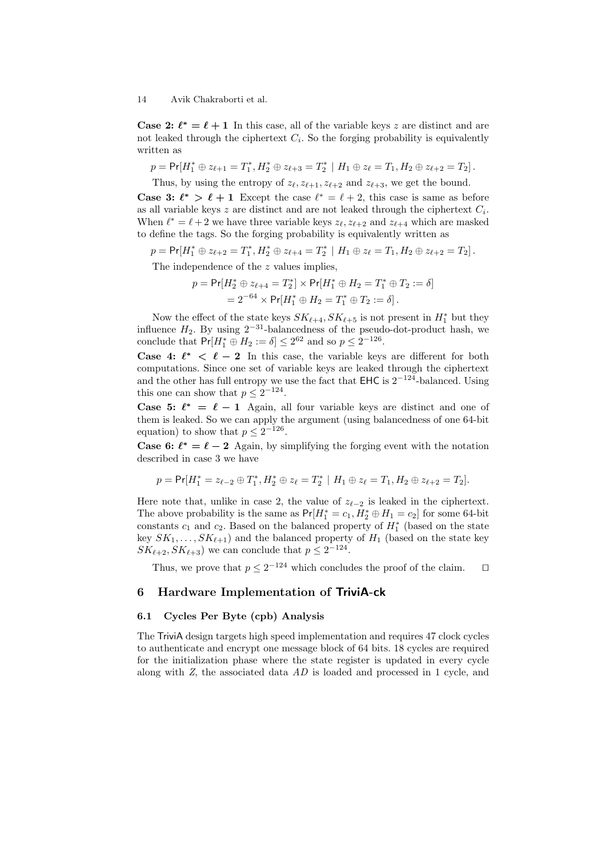**Case 2:**  $\ell^* = \ell + 1$  In this case, all of the variable keys z are distinct and are not leaked through the ciphertext  $C_i$ . So the forging probability is equivalently written as

$$
p = \Pr[H_1^* \oplus z_{\ell+1} = T_1^*, H_2^* \oplus z_{\ell+3} = T_2^* \mid H_1 \oplus z_{\ell} = T_1, H_2 \oplus z_{\ell+2} = T_2].
$$

Thus, by using the entropy of  $z_{\ell}$ ,  $z_{\ell+1}$ ,  $z_{\ell+2}$  and  $z_{\ell+3}$ , we get the bound. **Case 3:**  $\ell^* > \ell + 1$  Except the case  $\ell^* = \ell + 2$ , this case is same as before as all variable keys  $z$  are distinct and are not leaked through the ciphertext  $C_i$ . When  $\ell^* = \ell + 2$  we have three variable keys  $z_{\ell}, z_{\ell+2}$  and  $z_{\ell+4}$  which are masked to define the tags. So the forging probability is equivalently written as

$$
p = \Pr[H_1^* \oplus z_{\ell+2} = T_1^*, H_2^* \oplus z_{\ell+4} = T_2^* \mid H_1 \oplus z_{\ell} = T_1, H_2 \oplus z_{\ell+2} = T_2].
$$

The independence of the z values implies,

$$
p = \Pr[H_2^* \oplus z_{\ell+4} = T_2^*] \times \Pr[H_1^* \oplus H_2 = T_1^* \oplus T_2 := \delta]
$$
  
=  $2^{-64} \times \Pr[H_1^* \oplus H_2 = T_1^* \oplus T_2 := \delta]$ .

Now the effect of the state keys  $SK_{\ell+4}, SK_{\ell+5}$  is not present in  $H_1^*$  but they influence  $H_2$ . By using  $2^{-31}$ -balancedness of the pseudo-dot-product hash, we conclude that  $Pr[H_1^* \oplus H_2 := \delta] \leq 2^{62}$  and so  $p \leq 2^{-126}$ .

**Case 4:**  $\ell^* < \ell - 2$  In this case, the variable keys are different for both computations. Since one set of variable keys are leaked through the ciphertext and the other has full entropy we use the fact that  $EHC$  is  $2^{-124}$ -balanced. Using this one can show that  $p \leq 2^{-124}$ .

**Case 5:**  $\ell^* = \ell - 1$  Again, all four variable keys are distinct and one of them is leaked. So we can apply the argument (using balancedness of one 64-bit equation) to show that  $p \leq 2^{-126}$ .

**Case 6:**  $\ell^* = \ell - 2$  Again, by simplifying the forging event with the notation described in case 3 we have

$$
p = \Pr [H_1^* = z_{\ell-2} \oplus T_1^*, H_2^* \oplus z_\ell = T_2^* \mid H_1 \oplus z_\ell = T_1, H_2 \oplus z_{\ell+2} = T_2].
$$

Here note that, unlike in case 2, the value of  $z_{\ell-2}$  is leaked in the ciphertext. The above probability is the same as  $Pr[H_1^* = c_1, H_2^* \oplus H_1 = c_2]$  for some 64-bit constants  $c_1$  and  $c_2$ . Based on the balanced property of  $H_1^*$  (based on the state key  $SK_1, \ldots, SK_{\ell+1}$ ) and the balanced property of  $H_1$  (based on the state key  $SK_{\ell+2}, SK_{\ell+3}$  we can conclude that  $p \leq 2^{-124}$ .

Thus, we prove that  $p \leq 2^{-124}$  which concludes the proof of the claim.  $\square$ 

### 6 Hardware Implementation of TriviA-ck

#### 6.1 Cycles Per Byte (cpb) Analysis

The TriviA design targets high speed implementation and requires 47 clock cycles to authenticate and encrypt one message block of 64 bits. 18 cycles are required for the initialization phase where the state register is updated in every cycle along with Z, the associated data AD is loaded and processed in 1 cycle, and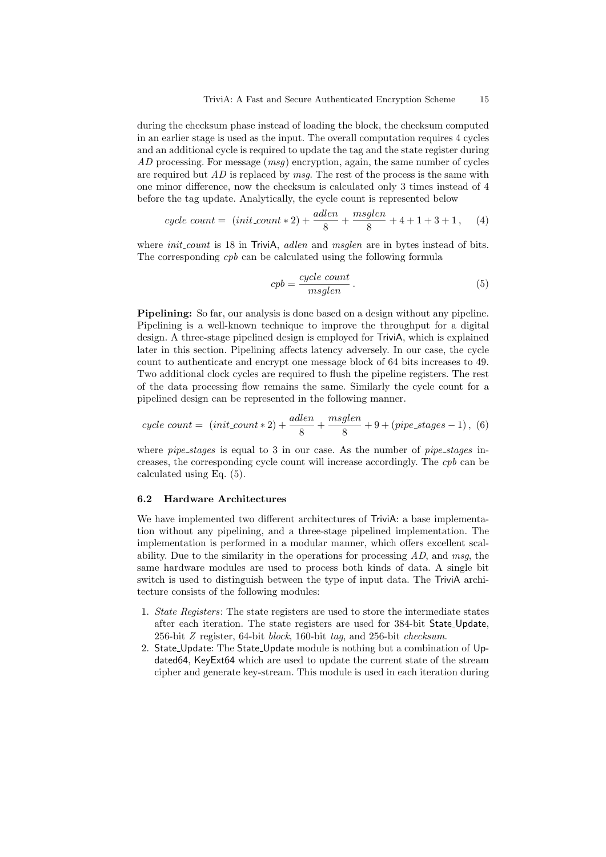during the checksum phase instead of loading the block, the checksum computed in an earlier stage is used as the input. The overall computation requires 4 cycles and an additional cycle is required to update the tag and the state register during AD processing. For message  $(msq)$  encryption, again, the same number of cycles are required but  $AD$  is replaced by msq. The rest of the process is the same with one minor difference, now the checksum is calculated only 3 times instead of 4 before the tag update. Analytically, the cycle count is represented below

$$
cycle\ count = (init_count * 2) + \frac{adlen}{8} + \frac{msglen}{8} + 4 + 1 + 3 + 1,\tag{4}
$$

where *init count* is 18 in TriviA, *adlen* and *msglen* are in bytes instead of bits. The corresponding *cpb* can be calculated using the following formula

$$
cpb = \frac{cycle\ count}{msglen} \,. \tag{5}
$$

Pipelining: So far, our analysis is done based on a design without any pipeline. Pipelining is a well-known technique to improve the throughput for a digital design. A three-stage pipelined design is employed for TriviA, which is explained later in this section. Pipelining affects latency adversely. In our case, the cycle count to authenticate and encrypt one message block of 64 bits increases to 49. Two additional clock cycles are required to flush the pipeline registers. The rest of the data processing flow remains the same. Similarly the cycle count for a pipelined design can be represented in the following manner.

$$
cycle\ count = \ (init_count * 2) + \frac{adlen}{8} + \frac{msglen}{8} + 9 + (pipe\_stages - 1), \ (6)
$$

where  $pipe\_stages$  is equal to 3 in our case. As the number of  $pipe\_stages$  increases, the corresponding cycle count will increase accordingly. The cpb can be calculated using Eq. (5).

#### 6.2 Hardware Architectures

We have implemented two different architectures of TriviA: a base implementation without any pipelining, and a three-stage pipelined implementation. The implementation is performed in a modular manner, which offers excellent scalability. Due to the similarity in the operations for processing  $AD$ , and msg, the same hardware modules are used to process both kinds of data. A single bit switch is used to distinguish between the type of input data. The TriviA architecture consists of the following modules:

- 1. State Registers: The state registers are used to store the intermediate states after each iteration. The state registers are used for 384-bit State Update, 256-bit Z register, 64-bit block, 160-bit tag, and 256-bit checksum.
- 2. State Update: The State Update module is nothing but a combination of Updated64, KeyExt64 which are used to update the current state of the stream cipher and generate key-stream. This module is used in each iteration during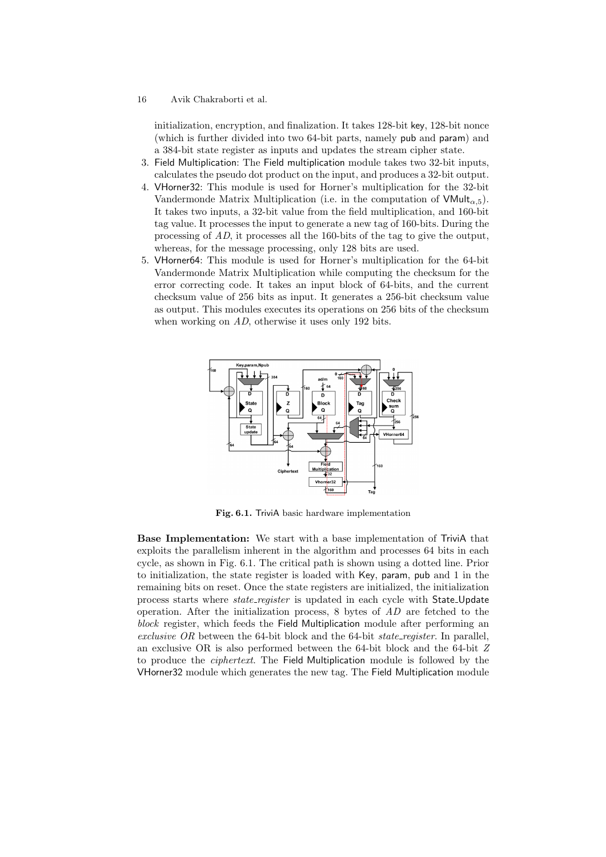initialization, encryption, and finalization. It takes 128-bit key, 128-bit nonce (which is further divided into two 64-bit parts, namely pub and param) and a 384-bit state register as inputs and updates the stream cipher state.

- 3. Field Multiplication: The Field multiplication module takes two 32-bit inputs, calculates the pseudo dot product on the input, and produces a 32-bit output.
- 4. VHorner32: This module is used for Horner's multiplication for the 32-bit Vandermonde Matrix Multiplication (i.e. in the computation of  $VMult_{\alpha,5}$ ). It takes two inputs, a 32-bit value from the field multiplication, and 160-bit tag value. It processes the input to generate a new tag of 160-bits. During the processing of AD, it processes all the 160-bits of the tag to give the output, whereas, for the message processing, only 128 bits are used.
- 5. VHorner64: This module is used for Horner's multiplication for the 64-bit Vandermonde Matrix Multiplication while computing the checksum for the error correcting code. It takes an input block of 64-bits, and the current checksum value of 256 bits as input. It generates a 256-bit checksum value as output. This modules executes its operations on 256 bits of the checksum when working on AD, otherwise it uses only 192 bits.



Fig. 6.1. TriviA basic hardware implementation

Base Implementation: We start with a base implementation of TriviA that exploits the parallelism inherent in the algorithm and processes 64 bits in each cycle, as shown in Fig. 6.1. The critical path is shown using a dotted line. Prior to initialization, the state register is loaded with Key, param, pub and 1 in the remaining bits on reset. Once the state registers are initialized, the initialization process starts where *state\_register* is updated in each cycle with State\_Update operation. After the initialization process,  $8$  bytes of  $AD$  are fetched to the block register, which feeds the Field Multiplication module after performing an exclusive OR between the 64-bit block and the 64-bit *state register*. In parallel, an exclusive OR is also performed between the 64-bit block and the 64-bit Z to produce the ciphertext. The Field Multiplication module is followed by the VHorner32 module which generates the new tag. The Field Multiplication module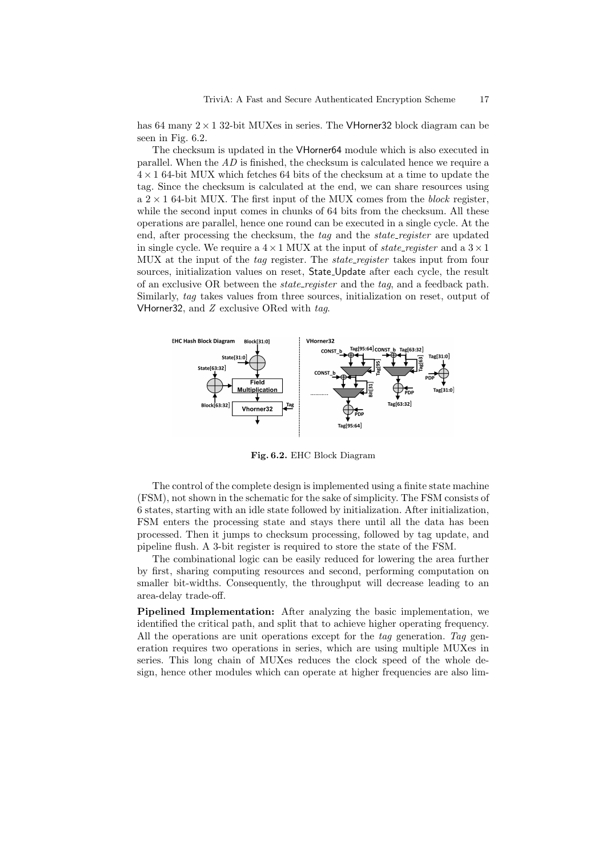has 64 many  $2 \times 1$  32-bit MUXes in series. The VHorner 32 block diagram can be seen in Fig. 6.2.

The checksum is updated in the VHorner64 module which is also executed in parallel. When the  $AD$  is finished, the checksum is calculated hence we require a  $4 \times 1$  64-bit MUX which fetches 64 bits of the checksum at a time to update the tag. Since the checksum is calculated at the end, we can share resources using a  $2 \times 1$  64-bit MUX. The first input of the MUX comes from the *block* register, while the second input comes in chunks of 64 bits from the checksum. All these operations are parallel, hence one round can be executed in a single cycle. At the end, after processing the checksum, the tag and the *state register* are updated in single cycle. We require a  $4 \times 1$  MUX at the input of *state\_register* and a  $3 \times 1$ MUX at the input of the tag register. The *state\_register* takes input from four sources, initialization values on reset, State Update after each cycle, the result of an exclusive OR between the *state\_register* and the tag, and a feedback path. Similarly, tag takes values from three sources, initialization on reset, output of VHorner32, and  $Z$  exclusive ORed with  $tag$ .



Fig. 6.2. EHC Block Diagram

The control of the complete design is implemented using a finite state machine (FSM), not shown in the schematic for the sake of simplicity. The FSM consists of 6 states, starting with an idle state followed by initialization. After initialization, FSM enters the processing state and stays there until all the data has been processed. Then it jumps to checksum processing, followed by tag update, and pipeline flush. A 3-bit register is required to store the state of the FSM.

The combinational logic can be easily reduced for lowering the area further by first, sharing computing resources and second, performing computation on smaller bit-widths. Consequently, the throughput will decrease leading to an area-delay trade-off.

Pipelined Implementation: After analyzing the basic implementation, we identified the critical path, and split that to achieve higher operating frequency. All the operations are unit operations except for the tag generation. Tag generation requires two operations in series, which are using multiple MUXes in series. This long chain of MUXes reduces the clock speed of the whole design, hence other modules which can operate at higher frequencies are also lim-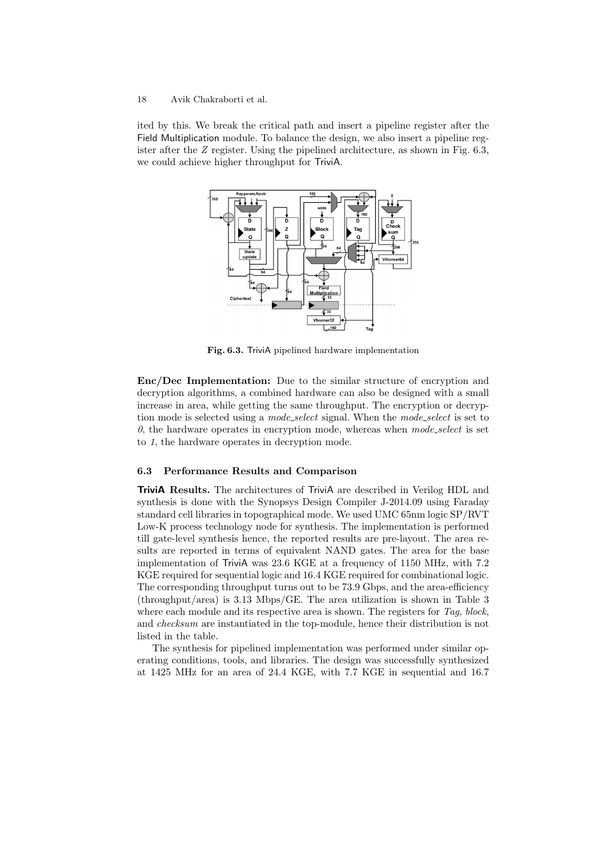ited by this. We break the critical path and insert a pipeline register after the Field Multiplication module. To balance the design, we also insert a pipeline register after the Z register. Using the pipelined architecture, as shown in Fig. 6.3, we could achieve higher throughput for TriviA.



Fig. 6.3. TriviA pipelined hardware implementation

Enc/Dec Implementation: Due to the similar structure of encryption and decryption algorithms, a combined hardware can also be designed with a small increase in area, while getting the same throughput. The encryption or decryption mode is selected using a *mode\_select* signal. When the *mode\_select* is set to  $0$ , the hardware operates in encryption mode, whereas when mode\_select is set to 1, the hardware operates in decryption mode.

#### 6.3 Performance Results and Comparison

TriviA Results. The architectures of TriviA are described in Verilog HDL and synthesis is done with the Synopsys Design Compiler J-2014.09 using Faraday standard cell libraries in topographical mode. We used UMC 65nm logic SP/RVT Low-K process technology node for synthesis. The implementation is performed till gate-level synthesis hence, the reported results are pre-layout. The area results are reported in terms of equivalent NAND gates. The area for the base implementation of TriviA was 23.6 KGE at a frequency of 1150 MHz, with 7.2 KGE required for sequential logic and 16.4 KGE required for combinational logic. The corresponding throughput turns out to be 73.9 Gbps, and the area-efficiency (throughput/area) is 3.13 Mbps/GE. The area utilization is shown in Table 3 where each module and its respective area is shown. The registers for Tag, block, and checksum are instantiated in the top-module, hence their distribution is not listed in the table.

The synthesis for pipelined implementation was performed under similar operating conditions, tools, and libraries. The design was successfully synthesized at 1425 MHz for an area of 24.4 KGE, with 7.7 KGE in sequential and 16.7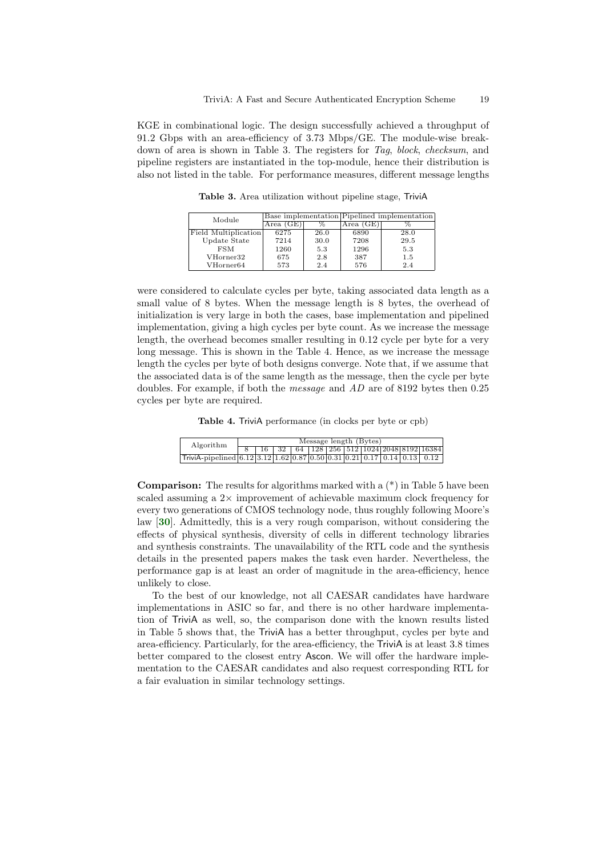KGE in combinational logic. The design successfully achieved a throughput of 91.2 Gbps with an area-efficiency of 3.73 Mbps/GE. The module-wise breakdown of area is shown in Table 3. The registers for Tag, block, checksum, and pipeline registers are instantiated in the top-module, hence their distribution is also not listed in the table. For performance measures, different message lengths

Module Base implementation Pipelined implementation<br>Area (GE)  $\frac{\%}{\%}$  Area (GE)  $\frac{\%}{\%}$ Area (GE) % Area (GE) % Field Multiplication 6275 26.0 6890 28.0<br>Undate State 7214 30.0 7208 29.5 Update State 7214 30.0 7208 29.5<br>FSM 1260 5.3 1296 5.3 FSM | 1260 | 5.3 | 1296 | 5.3 VHorner32 675 2.8 387 1.5<br>VHorner64 573 2.4 576 2.4 VHorner64

Table 3. Area utilization without pipeline stage, TriviA

were considered to calculate cycles per byte, taking associated data length as a small value of 8 bytes. When the message length is 8 bytes, the overhead of initialization is very large in both the cases, base implementation and pipelined implementation, giving a high cycles per byte count. As we increase the message length, the overhead becomes smaller resulting in 0.12 cycle per byte for a very long message. This is shown in the Table 4. Hence, as we increase the message length the cycles per byte of both designs converge. Note that, if we assume that the associated data is of the same length as the message, then the cycle per byte doubles. For example, if both the message and AD are of 8192 bytes then 0.25 cycles per byte are required.

Table 4. TriviA performance (in clocks per byte or cpb)

| Algorithm                                                                                        | Message length (Bytes) |  |  |  |  |  |  |  |  |                                                             |
|--------------------------------------------------------------------------------------------------|------------------------|--|--|--|--|--|--|--|--|-------------------------------------------------------------|
|                                                                                                  |                        |  |  |  |  |  |  |  |  | 16   32   64   128   256   512   1024   2048   8192   16384 |
| $Trivial-pipelined   6.12   3.12   1.62   0.87   0.50   0.31   0.21   0.17   0.14   0.13   0.12$ |                        |  |  |  |  |  |  |  |  |                                                             |

<span id="page-18-0"></span>**Comparison:** The results for algorithms marked with a  $(*)$  in Table 5 have been scaled assuming a  $2\times$  improvement of achievable maximum clock frequency for every two generations of CMOS technology node, thus roughly following Moore's law [[30](#page-22-9)]. Admittedly, this is a very rough comparison, without considering the effects of physical synthesis, diversity of cells in different technology libraries and synthesis constraints. The unavailability of the RTL code and the synthesis details in the presented papers makes the task even harder. Nevertheless, the performance gap is at least an order of magnitude in the area-efficiency, hence unlikely to close.

To the best of our knowledge, not all CAESAR candidates have hardware implementations in ASIC so far, and there is no other hardware implementation of TriviA as well, so, the comparison done with the known results listed in Table 5 shows that, the TriviA has a better throughput, cycles per byte and area-efficiency. Particularly, for the area-efficiency, the TriviA is at least 3.8 times better compared to the closest entry Ascon. We will offer the hardware implementation to the CAESAR candidates and also request corresponding RTL for a fair evaluation in similar technology settings.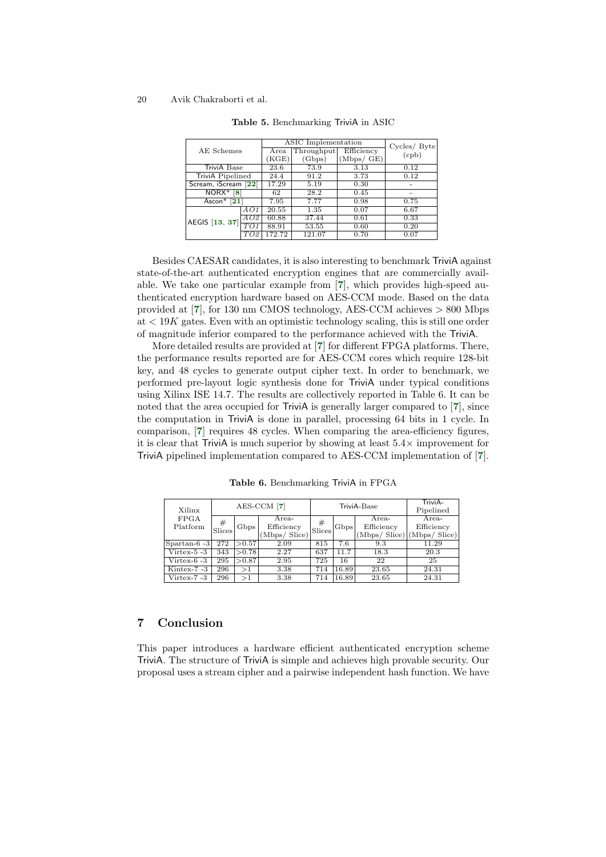<span id="page-19-8"></span><span id="page-19-7"></span>

|                         |                     |        | ASIC Implementation | Cycles/ Byte |       |  |
|-------------------------|---------------------|--------|---------------------|--------------|-------|--|
| AE Schemes              |                     | Area   | Throughput          | Efficiency   | (cpb) |  |
|                         |                     | KGE)   | (Gbps)              | (Mbps / GE)  |       |  |
| TriviA Base             |                     | 23.6   | 73.9<br>3.13        |              | 0.12  |  |
| <b>TriviA</b> Pipelined |                     | 24.4   | 91.2                | 3.73         | 0.12  |  |
| Scream, iScream         | $\left  22 \right $ | 17.29  | 5.19                | 0.30         |       |  |
| NORX*<br>8              |                     | 62     | 28.2                | 0.45         |       |  |
| Ascon $*$ [21]          |                     | 7.95   | 7.77                | 0.98         | 0.75  |  |
|                         | AO1                 | 20.55  | 1.35                | 0.07         | 6.67  |  |
| AEGIS [13, 37]          | AO2                 | 60.88  | 37.44               | 0.61         | 0.33  |  |
|                         | TO1                 | 88.91  | 53.55               | 0.60         | 0.20  |  |
|                         | TO2                 | 172.72 | 121.07              | 0.70         | 0.07  |  |

<span id="page-19-9"></span><span id="page-19-0"></span>Table 5. Benchmarking TriviA in ASIC

Besides CAESAR candidates, it is also interesting to benchmark TriviA against state-of-the-art authenticated encryption engines that are commercially available. We take one particular example from [[7](#page-20-8)], which provides high-speed authenticated encryption hardware based on AES-CCM mode. Based on the data provided at [[7](#page-20-8)], for 130 nm CMOS technology, AES-CCM achieves > 800 Mbps at  $\lt 19K$  gates. Even with an optimistic technology scaling, this is still one order of magnitude inferior compared to the performance achieved with the TriviA.

<span id="page-19-1"></span>More detailed results are provided at [[7](#page-20-8)] for different FPGA platforms. There, the performance results reported are for AES-CCM cores which require 128-bit key, and 48 cycles to generate output cipher text. In order to benchmark, we performed pre-layout logic synthesis done for TriviA under typical conditions using Xilinx ISE 14.7. The results are collectively reported in Table 6. It can be noted that the area occupied for TriviA is generally larger compared to [[7](#page-20-8)], since the computation in TriviA is done in parallel, processing 64 bits in 1 cycle. In comparison, [[7](#page-20-8)] requires 48 cycles. When comparing the area-efficiency figures, it is clear that TriviA is much superior by showing at least  $5.4\times$  improvement for TriviA pipelined implementation compared to AES-CCM implementation of [[7](#page-20-8)].

<span id="page-19-6"></span><span id="page-19-5"></span><span id="page-19-4"></span><span id="page-19-3"></span><span id="page-19-2"></span>Table 6. Benchmarking TriviA in FPGA

| Xilinx         | $AES-CCM$ [7] |        |               |             | TriviA-Base | TriviA-<br>Pipelined |                             |  |
|----------------|---------------|--------|---------------|-------------|-------------|----------------------|-----------------------------|--|
| <b>FPGA</b>    |               |        | Area-         | #<br>Slices | Gbps        | Area-                | Area-                       |  |
| Platform       | #<br>Slices   | Gbps   | Efficiency    |             |             | Efficiency           | Efficiency                  |  |
|                |               |        | (Mbps/ Slice) |             |             |                      | (Mbps/ Slice) (Mbps/ Slice) |  |
| $Spartan-6-3$  | 272           | > 0.57 | 2.09          | 815         | 7.6         | 9.3                  | 11.29                       |  |
| $V$ irtex-5 -3 | 343           | >0.78  | 2.27          | 637         | 11.7        | 18.3                 | 20.3                        |  |
| Virtex-6 -3    | 295           | > 0.87 | 2.95          | 725         | 16          | 22                   | 25                          |  |
| Kintex-7 -3    | 296           | >1     | 3.38          | 714         | 16.89       | 23.65                | 24.31                       |  |
| Virtex-7 -3    | 296           | >1     | 3.38          | 714         | 16.89       | 23.65                | 24.31                       |  |

### 7 Conclusion

This paper introduces a hardware efficient authenticated encryption scheme TriviA. The structure of TriviA is simple and achieves high provable security. Our proposal uses a stream cipher and a pairwise independent hash function. We have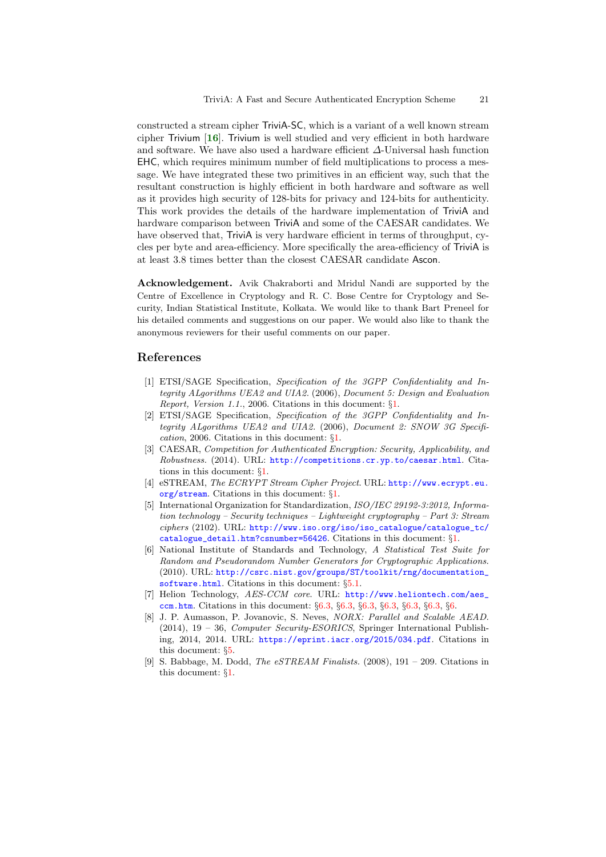<span id="page-20-9"></span>constructed a stream cipher TriviA-SC, which is a variant of a well known stream cipher Trivium  $[16]$  $[16]$  $[16]$ . Trivium is well studied and very efficient in both hardware and software. We have also used a hardware efficient ∆-Universal hash function EHC, which requires minimum number of field multiplications to process a message. We have integrated these two primitives in an efficient way, such that the resultant construction is highly efficient in both hardware and software as well as it provides high security of 128-bits for privacy and 124-bits for authenticity. This work provides the details of the hardware implementation of TriviA and hardware comparison between TriviA and some of the CAESAR candidates. We have observed that, TriviA is very hardware efficient in terms of throughput, cycles per byte and area-efficiency. More specifically the area-efficiency of TriviA is at least 3.8 times better than the closest CAESAR candidate Ascon.

Acknowledgement. Avik Chakraborti and Mridul Nandi are supported by the Centre of Excellence in Cryptology and R. C. Bose Centre for Cryptology and Security, Indian Statistical Institute, Kolkata. We would like to thank Bart Preneel for his detailed comments and suggestions on our paper. We would also like to thank the anonymous reviewers for their useful comments on our paper.

### References

- <span id="page-20-4"></span>[1] ETSI/SAGE Specification, Specification of the 3GPP Confidentiality and Integrity ALgorithms UEA2 and UIA2. (2006), Document 5: Design and Evaluation Report, Version 1.1., 2006. Citations in this document: §[1](#page-1-0).
- <span id="page-20-5"></span>[2] ETSI/SAGE Specification, Specification of the 3GPP Confidentiality and Integrity ALgorithms UEA2 and UIA2. (2006), Document 2: SNOW 3G Specification, 2006. Citations in this document: §[1](#page-1-1).
- <span id="page-20-0"></span>[3] CAESAR, Competition for Authenticated Encryption: Security, Applicability, and Robustness. (2014). URL: <http://competitions.cr.yp.to/caesar.html>. Citations in this document: §[1.](#page-1-2)
- <span id="page-20-2"></span>[4] eSTREAM, The ECRYPT Stream Cipher Project. URL: [http://www.ecrypt.eu.](http://www.ecrypt.eu.org/stream) [org/stream](http://www.ecrypt.eu.org/stream). Citations in this document: §[1.](#page-1-3)
- <span id="page-20-3"></span>[5] International Organization for Standardization, ISO/IEC 29192-3:2012, Information technology – Security techniques – Lightweight cryptography – Part 3: Stream ciphers (2102). URL: [http://www.iso.org/iso/iso\\_catalogue/catalogue\\_tc/](http://www.iso.org/iso/iso_catalogue/catalogue_tc/catalogue_detail.htm?csnumber=56426) [catalogue\\_detail.htm?csnumber=56426](http://www.iso.org/iso/iso_catalogue/catalogue_tc/catalogue_detail.htm?csnumber=56426). Citations in this document: §[1](#page-1-4).
- <span id="page-20-6"></span>[6] National Institute of Standards and Technology, A Statistical Test Suite for Random and Pseudorandom Number Generators for Cryptographic Applications. (2010). URL: [http://csrc.nist.gov/groups/ST/toolkit/rng/documentation\\_](http://csrc.nist.gov/groups/ST/toolkit/rng/documentation_software.html) [software.html](http://csrc.nist.gov/groups/ST/toolkit/rng/documentation_software.html). Citations in this document: §[5.1](#page-10-0).
- <span id="page-20-8"></span>[7] Helion Technology, AES-CCM core. URL: [http://www.heliontech.com/aes\\_](http://www.heliontech.com/aes_ccm.htm) [ccm.htm](http://www.heliontech.com/aes_ccm.htm). Citations in this document: §[6.3,](#page-19-0) §[6.3](#page-19-1), §[6.3,](#page-19-2) §[6.3](#page-19-3), §[6.3,](#page-19-4) §[6.3](#page-19-5), §[6.](#page-19-6)
- <span id="page-20-7"></span>[8] J. P. Aumasson, P. Jovanovic, S. Neves, NORX: Parallel and Scalable AEAD. (2014), 19 – 36, Computer Security-ESORICS, Springer International Publishing, 2014, 2014. URL: <https://eprint.iacr.org/2015/034.pdf>. Citations in this document: §[5](#page-19-7).
- <span id="page-20-1"></span>[9] S. Babbage, M. Dodd, *The eSTREAM Finalists.* (2008),  $191 - 209$ . Citations in this document: §[1](#page-1-5).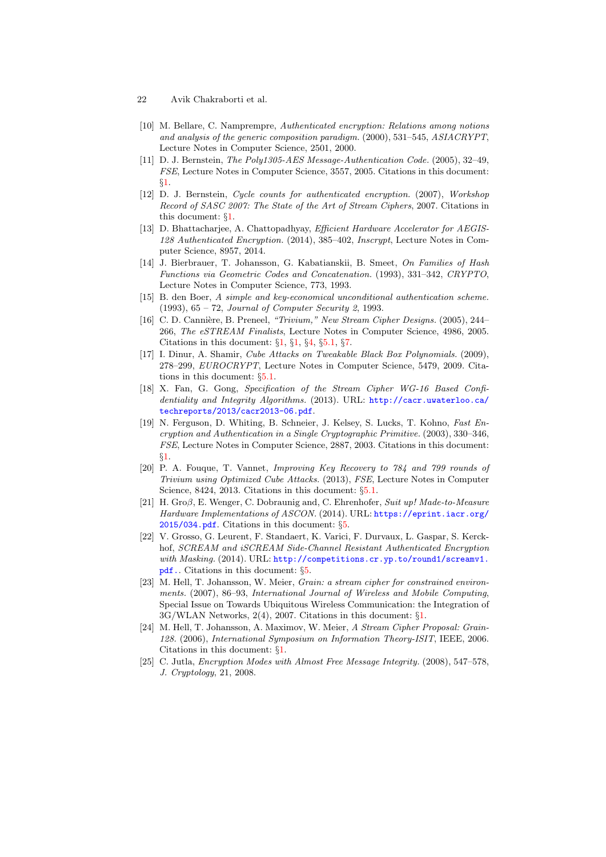- 22 Avik Chakraborti et al.
- <span id="page-21-0"></span>[10] M. Bellare, C. Namprempre, Authenticated encryption: Relations among notions and analysis of the generic composition paradigm. (2000), 531–545, ASIACRYPT, Lecture Notes in Computer Science, 2501, 2000.
- <span id="page-21-7"></span>[11] D. J. Bernstein, The Poly1305-AES Message-Authentication Code. (2005), 32–49, FSE, Lecture Notes in Computer Science, 3557, 2005. Citations in this document: §[1](#page-1-6).
- <span id="page-21-4"></span>[12] D. J. Bernstein, Cycle counts for authenticated encryption. (2007), Workshop Record of SASC 2007: The State of the Art of Stream Ciphers, 2007. Citations in this document: §[1](#page-1-7).
- <span id="page-21-15"></span>[13] D. Bhattacharjee, A. Chattopadhyay, *Efficient Hardware Accelerator for AEGIS-*128 Authenticated Encryption. (2014), 385–402, Inscrypt, Lecture Notes in Computer Science, 8957, 2014.
- <span id="page-21-9"></span>[14] J. Bierbrauer, T. Johansson, G. Kabatianskii, B. Smeet, On Families of Hash Functions via Geometric Codes and Concatenation. (1993), 331–342, CRYPTO, Lecture Notes in Computer Science, 773, 1993.
- <span id="page-21-10"></span>[15] B. den Boer, A simple and key-economical unconditional authentication scheme. (1993), 65 – 72, Journal of Computer Security 2, 1993.
- <span id="page-21-2"></span>[16] C. D. Cannière, B. Preneel, "Trivium," New Stream Cipher Designs. (2005), 244– 266, The eSTREAM Finalists, Lecture Notes in Computer Science, 4986, 2005. Citations in this document: §[1](#page-1-8), §[1](#page-1-9), §[4,](#page-6-0) §[5.1](#page-9-0), §[7.](#page-20-9)
- <span id="page-21-11"></span>[17] I. Dinur, A. Shamir, Cube Attacks on Tweakable Black Box Polynomials. (2009), 278–299, EUROCRYPT, Lecture Notes in Computer Science, 5479, 2009. Citations in this document: §[5.1.](#page-9-1)
- <span id="page-21-8"></span>[18] X. Fan, G. Gong, Specification of the Stream Cipher WG-16 Based Confidentiality and Integrity Algorithms. (2013). URL: [http://cacr.uwaterloo.ca/](http://cacr.uwaterloo.ca/techreports/2013/cacr2013-06.pdf) [techreports/2013/cacr2013-06.pdf](http://cacr.uwaterloo.ca/techreports/2013/cacr2013-06.pdf).
- <span id="page-21-5"></span>[19] N. Ferguson, D. Whiting, B. Schneier, J. Kelsey, S. Lucks, T. Kohno, Fast Encryption and Authentication in a Single Cryptographic Primitive. (2003), 330–346, FSE, Lecture Notes in Computer Science, 2887, 2003. Citations in this document: §[1](#page-1-10).
- <span id="page-21-12"></span>[20] P. A. Fouque, T. Vannet, Improving Key Recovery to 784 and 799 rounds of Trivium using Optimized Cube Attacks. (2013), FSE, Lecture Notes in Computer Science, 8424, 2013. Citations in this document:  $\S 5.1$  $\S 5.1$ .
- <span id="page-21-14"></span>[21] H. Groβ, E. Wenger, C. Dobraunig and, C. Ehrenhofer, Suit up! Made-to-Measure Hardware Implementations of ASCON. (2014). URL: [https://eprint.iacr.org/](https://eprint.iacr.org/2015/034.pdf) [2015/034.pdf](https://eprint.iacr.org/2015/034.pdf). Citations in this document: §[5](#page-19-8).
- <span id="page-21-13"></span>[22] V. Grosso, G. Leurent, F. Standaert, K. Varici, F. Durvaux, L. Gaspar, S. Kerckhof, SCREAM and iSCREAM Side-Channel Resistant Authenticated Encryption with Masking. (2014). URL: [http://competitions.cr.yp.to/round1/screamv1.]({http://competitions.cr.yp.to/round1/screamv1.pdf}.) [pdf.]({http://competitions.cr.yp.to/round1/screamv1.pdf}.). Citations in this document: §[5.](#page-19-9)
- <span id="page-21-3"></span>[23] M. Hell, T. Johansson, W. Meier, Grain: a stream cipher for constrained environments. (2007), 86–93, International Journal of Wireless and Mobile Computing, Special Issue on Towards Ubiquitous Wireless Communication: the Integration of 3G/WLAN Networks, 2(4), 2007. Citations in this document: §[1.](#page-1-11)
- <span id="page-21-6"></span>[24] M. Hell, T. Johansson, A. Maximov, W. Meier, A Stream Cipher Proposal: Grain-128. (2006), International Symposium on Information Theory-ISIT, IEEE, 2006. Citations in this document: §[1](#page-1-12).
- <span id="page-21-1"></span>[25] C. Jutla, Encryption Modes with Almost Free Message Integrity. (2008), 547–578, J. Cryptology, 21, 2008.